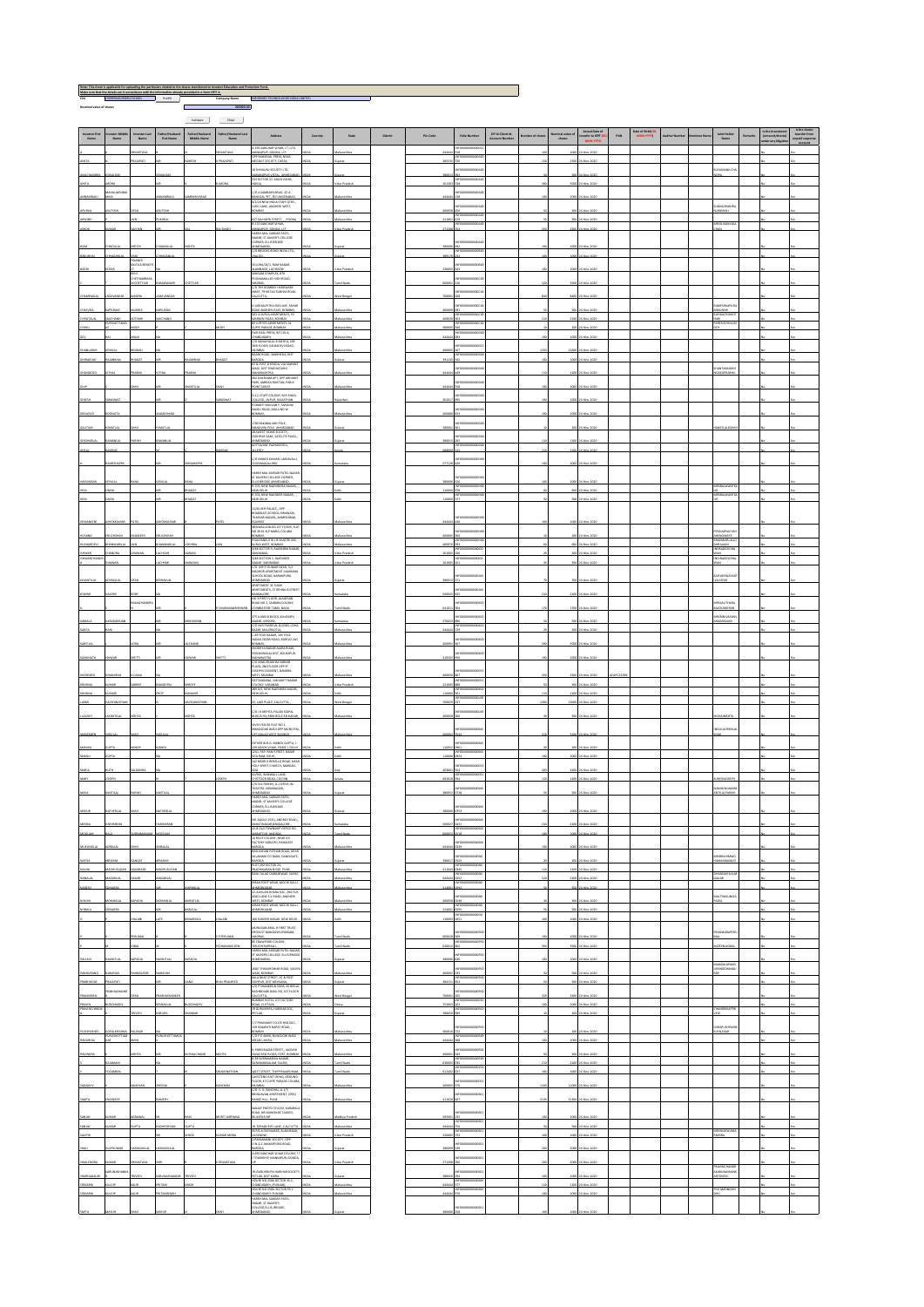| $\hspace{1.6cm} \textbf{Validate} \hspace{1.2cm} \textbf{Gear} \hspace{1.2cm}$<br>Actual Date of<br>crander to KPF (C<br>MON-YYYY)<br>Date of Birth(DC)<br>MON-YYYY)<br>Father/Husband Last<br>Name<br>DP 1d-Client Id-<br>Account Number<br>nvestor Find<br>Name<br>restor Middl<br>Name<br>Father/Husband<br>Middle Name<br>Nominal value of<br>shares<br><b>Joint Holder</b><br>Name<br>investor Last<br>Name<br>Father/Husband<br>First Name<br>Address<br>Country<br>Pin Code<br>Follo Number<br>PAN<br>State<br><b>District</b><br>4-196 SANCHAR VIHAR, IT<br>WANKAPUR, GONDA, U.P.<br>HAR VIHAR, IT I LTD<br><b>IASTAWA</b><br><b>VASTAVA</b><br>Mov-2020<br>OPP RAISIEVAL PRESS, NEAR<br>PRAIAPATI<br>MEGDUT SOCIETY, DEESA<br>1500<br>Mov-2020<br><b>VAT</b><br>10 SHIVAUNI SOCIETY LTD,<br><b>SUMANLO</b><br>NARANGPUR VISTAL AHMEDA<br>533 SECTOR 37, ARUN VIHAR,<br>C/O A SAMBASIVARAO, 22-A<br>BANSILAL PET. SECUNDERABAD.<br>G/2/24 NEW INDIA STAFF QTRS.<br>JUHU LANE, ANDHERI WEST,<br>BOMBAY<br><b>ALAKSH</b><br><b>BHADRANE</b><br>637 SALHAPIR STREET POON<br>Nov-2220<br>nuti<br>0-170 SANCHAR VIHAR,<br>RSSUKANYAS<br>IN ECONOMISTICS<br>271308<br>OW<br>MANGAPUR, GONDA, U.P.<br>HARSH MAL SARDAR PATEL<br>2500 24 Nov-2020<br>NAGAR, ST.XAVIER'S COLLEGE<br>CORNER, ELLIS BRIDGE<br>EHTA<br>AHMEDABAD,<br>C/O BRODKE BOND INDIA LTD.,<br>38000<br>4 Nov-2020<br>NANCE<br>LITUA BENEI<br>51/IHA/24/1, RAM NAGAR,<br>ALAMBAGH LUCKNOW<br>SANGAM COMPLEK, 870<br>POONAMALLEE HIGH ROAD,<br>MS<br>HCTHAMBAR<br>C/O THE BOMBAY HARDWARE<br>MART, 79 NETALI SUBHAS ROAD,<br>0-406 KALPITHA ENCLAVE, SAHA<br><b>MESHAPLE</b><br>LRAM<br><b>U.RAN</b><br>ROAD ANDHERI EAST, BOMBAY.<br>503-A SURYA APARTMENTS, S3<br>MUNSH<br>JPASATISHKO<br>NSH<br>Nov-2020<br>CHAND<br>SHOTTA<br>THAR:<br>WARDEN ROAD, GOMBAY.<br>83 JUPITER APARTMENTS, 41<br>400<br>CHAN<br>Nov-2020<br>CUFFE PARADE, ECMEAY.<br>FAIR DEAL PRESS, 9/C/10-A,<br>$\omega$<br>CHANDIGARH,<br>C/O KANAYYALAL B MIDITA, 439<br>2ND FLOOR, KALBADDYI ROAD,<br>MUMBAI<br>BAZAR ROAD, SANKHIDA, DIST<br><b>BADAS</b><br><b>HGAT</b><br>2911<br><b>BAROOA</b><br>AT & POST SHIROOA, VIA SAWANT<br>WADI, DIST SINDHUDURG<br>MAHARAGHTRA,<br><b>MNTABAICH</b><br>ссояман<br>204 SHUBHAM APT, OPP ARTHANI<br>PARK, AMBIKA NIKETAN, PARLE<br>TARLE TAN<br>0-12, STAFF COLONY, M R ENGG.<br>COLLEGE: JAIPUR: RAJASTIKAN<br>9 SHANTI BHUWAN F, SAROUNI<br>NAIDU ROAD, MULUND W<br>100 KAKABALIAN POLE.<br>MANDYINI POLE AHMEDABAD:<br>28,SWEET HOME SOCIETY,,<br>JODI-PUR GAM, SATELITE ROAD,,<br>AHMEDABAD<br>KOTTAWAN, PAZHAWEDU,<br>LLEPEY.<br>C/O MANOJ KUMAR, LAKKAWALLI<br>COMAGALURD<br>HARSH MAL SARDAR PATEL NAGAR<br>ST XANERS COLLEGE CORNER,<br>ELLIS BRIDGE AHMEDABAD.<br>1-702, NEW RALENDERA NAGAR,<br>AREVADAN<br>NLAL<br>380000<br>1000 24 Nov-2220<br>110060<br>Nov-2020<br>NEW DELHI<br>R-702, NEW RAINDER NAGAR, , ,<br>₽AW<br>11/SLVER PALACE, OPP.<br>BHAGWATI SCHOOL,HIRAWADI,<br>THAISSAR NAGAR, AHMEDABAD,<br>GULHAAT<br>ARSWALLA BLDG 1ST FLOOR, FL<br>NO 20 61 N P MARG, COLABA<br><b>ROLAERUCHS</b><br>30000<br>OMBAY.<br>ENGNESS<br>9 KALYAN KUTIR L B SHASTRI MG,<br>EFOCODODODOO<br>WWWARLAU<br>WARLA<br>kurla west. Bombay.<br>3/48 Sector-5, Raiendra naga<br>Nov-2020<br>RAILAIN<br>DRADEVID<br>19/424<br>SAHBARATO<br>NAGAR SAUDIARADAD<br>NAGAR SAHBARADAD<br>C/O. KIRITI KUMAR DESAL S/2<br>SAHDIOR APARTMENT, NAVARI<br>SAHDIOR APARTMENT, NAVARI<br>SAHDIOR APARTMENT, NAVARI<br><b>PILBENIA</b><br>MEDANO<br>WATMENT 3C SUKHI<br>LOESAL<br>APARTMENTS, 17 REHNIUS STREE<br>BANGALORE,<br>NO 3 FIRST FLOOR, ALAGESAN<br>ROAD NO 2, SAIDABA COLONY,<br><b>RSLALITHARA</b><br>MACHANDE<br>UGAIN JIMAT 3ROTABMI<br>HANDRAN<br>375 A AND B BLOCK, KUVEMPU<br>NAGAR MYSORE.<br>C/O M/S PYARELAL & SONS, LON<br>BAZAR MALERKOTLA<br>170022<br>4 Nov-2020<br>LARAAN<br>C-49 YOGI NAGAR, 105 YOGI<br>SADAN DISAR ROAD, BORIVU (W)<br>BOMBAY,<br>AYOGIYYA NAGAR AJARA ROAD,<br>GODAHINGLAI DIST, KOLHAPUR,<br>UGWYNNIA<br>NHARASTRA<br>JO MASCERANING SARKAR<br>416502<br>PLAZO, 2ND FLOOR OPP ST<br>WEST, MUMBAL<br>GEETANGANA, 148 SAKET NAGAR<br>COLONY, VARANASI.<br>389 D/S, NEW RAIENDRA NAGAR,<br>Mov-2220<br>EWDELHI<br>LAKE PLACE, CALCUTT<br>C/O J K MEHTA, PALAN SOUPAL<br><b>WATK HOUSE FLAT NO 1,</b><br>AM COAR WANT OR MINOR<br>ULALHERA<br>FF MALAD WEST BOMBAY<br><b>EXTHER &amp; N.G. MANOJ GUPTA, I</b><br><b>SOODS</b><br>139 ASHOK VINAR, PHASE I, DELI<br>1301, PATI RAM STREET, BAZAR<br>11005<br>Voy-2020<br>N FOCODODODOOO<br>HJ20 MARATE<br>142 MSGR G REBELLO ROAD, NEAR<br>HOLY SPIRIT CHURCH, MARGAO,<br>41/962, WARMALL LANE,<br>68201<br>1200<br>CHITOGRADAD, COCHIN<br>C/ON K PARIDI, G-1 DRIVE-IN<br>THEATRE, MEMINAGAR,<br>anné Dabad<br>Harsh Mal Sadar Patti<br>Nagar, st Xaner's College<br>Corner, ellis Bridge<br><del>Namedabad</del><br>NO 24(OLD 19/1), ANDREE ROAD,<br>N FOODS<br>00000<br>SWATINAGAR BANGALORE.<br>22-B OLD TOWNSHIP OFFICE RD,<br>AWBATTUR, MADRAS,<br>Nov-2020<br>24 Nov-2020<br>BRAMANIA<br>ADOLAM<br>600053<br><b>IDDLAM</b><br>amil Nad<br>2518<br>14 RELIF COLONY, NEAR ICE<br>FACTORY AGRA RD, PANIGATE<br>PRINTING MARINE PRINTING MARKET<br>BASILIKINAN CO BANK, GANDIGATE,<br>SULAMANI CO BANK, GANDIGATE,<br>BASILIKINAN MIGH, FUNE.<br>PARTHIKANAN MIGH, FUNE.<br>PARTHIKANAN MIGH, FUNE.<br>RANI TALAO DABGARWAD, SURAT,<br><b>UHMAD</b><br>SANGAI<br>4444<br>Mov-2020<br>an a<br>CANT AL<br><b>CM</b><br><b>IAR</b><br>KIRAN FOOT WEAR, MOOH GALLI,<br>NEODO<br><b>NAGRA</b><br>APANLAL<br>AIMEDINACAR.<br>22-AMILAN DIARA SOC. 2ND FLR.<br>414000<br>500<br>24 Nov-2020<br>arashtra<br>AZAD LANE S.V.ROAD, ANDHERI<br><b>ALTINIKUNI</b><br>west, Bowbay<br>Kiran Foot Wear, Moori Galli,<br>MTLA<br>NAGRA<br><b>EARLIEAL</b><br>414000<br>500 24 Nov-2020<br><b>IRMLA</b><br>ANADONAGAR.<br>aharashtra<br>MARSON<br>106 SUNDER NAGAR, NEW DELH<br>4 Nov-2020<br>uw<br>u<br>11000<br>1000<br>MURUGAN ARUL B FIRST TRUST,<br>CROSS ST MANDAVELIPAKKAN,<br>MADRAS,<br>RS CRAWFORD COLONY,<br><b>BUMAL</b><br>PPERLIM<br>60002<br>4 Nov-2020<br><b>JAE</b><br><b>TRUCHRAPPALL</b><br>4 Nov-2020<br><b>HARANT DET</b><br>630<br>HARSH MAL SARDAR PATEL NAGAR<br>ST XAVERS COLLEGE, ELLIS BRIDG<br><b>INITLAL</b><br>GARCOMAD.<br>4 Nov-2020<br>LAVI<br>AD <sub>1</sub><br>WGALAPAN<br>168/1 THAKURDWAR ROAD, VAIDI<br>oxxxx<br>MAGGHANG<br>WADI BOARAY.<br>KALA BHAT STREET, AT & POST<br>SIDHPUR, DIST MEHSANA.<br>SING COP SHAWER & SONS, SO BRUAL<br>RASHEDHAI BASU RO, IST FLOOR<br>CALCUTTA, ICE FACTORY<br>ROAD, CUTTACK,<br>IS GURLICEPA, HARIHAR SOC,<br>IST LO.<br>ivo<br><b>PETLAD.</b><br>38849<br>Mov-2020<br>21124<br>10<br>C/7 PRASHANT CO.OP.HSG.SDC.,<br>139 SENAPATI BAPAT ROAD, ,<br>WUSIPK<br>SIPASIEEL<br>PALOSSIN<br>YABAC<br>40001<br>14 Nov-2020<br><b>BALEXAR</b><br><b>DO</b><br>C/O P D AMIN, BUNGLOW WAD!<br><b>USHOTTAN</b><br>$\frac{1}{2}$<br>1000 24 Nov 2020<br>AQISHA<br>WIN<br>ARSAD, KARA<br>taharashtra<br>9, PARSI BAZAR STREET,, JAGEISH<br>NIVAS 380 FLOOR, FORT, BOMBA<br>B-38 SUBRAMANIA NAGAR,<br>SURAMANIGALAM, SALEM,<br>WEST STREET, THIPPIRALAPLIRAM<br>QUESTEND EAST WING, GROUND<br>FLOOR, 47 CUFFE PARADE COLABA<br>MUMMA<br>C/O. S. G. PANCHAL, A-1/3<br>BRINDAVAN APARTMENT, 209/2<br>RANGE HILL PUNE<br>GINEER<br>ezu<br>\$1300 24 Nov 2020<br><b>MATA</b><br>4110<br>SANJAY PHOTO STUDIO, KARABAL<br>ROAD, NR MANOHAR TALKIES,<br>BILASPUR MP<br><b><i>EURTI AGRAINS</i></b><br>dhya Pradesh<br>49500<br>4 Nov-2020<br>19, SHHAN BYE LANE, CALCUITA<br>SS7/6-A OM NAGAR, ALAM BAGI,<br>LUCINOW.<br>2-PARASMANI SOCIETY, OPP.<br>ONG GC MAKARPURA ROAD,<br>RAROOA.<br>us seca<br>19000<br><b>AUDIO</b><br>Nov-2020<br>ARODA,<br>-690 SANCHAR VIHAR COLONY,<br>TOWNSHIP, MANKAPUR, GONDI<br>www.wwd<br>Grungen<br><b>RUNASIAN</b><br>19-GURUKRUPA HARIHAR SOCIET<br>wa<br>PETLAD, DIST KAIRA.<br>HOUSE NO 2566 SECTOR 35-C,<br>38845<br>Mov-2020<br>CRIVED<br><b>CEP</b><br>MATH<br>DHANDIGARH, IPUNUARI).<br>HOUSE NO 2566, SECTOR 35-C<br>Nov-2020<br>4444 | <b>CIN</b><br>Nominal value of shares | L9999944+2958PLC013001 Prefil |  | $\mathbb{R}^n$ | 205920.00 | Company Name INFORMED TECHNOLOGIES IN                                                       |  |  |  |  |  |  |  |  |  |
|-----------------------------------------------------------------------------------------------------------------------------------------------------------------------------------------------------------------------------------------------------------------------------------------------------------------------------------------------------------------------------------------------------------------------------------------------------------------------------------------------------------------------------------------------------------------------------------------------------------------------------------------------------------------------------------------------------------------------------------------------------------------------------------------------------------------------------------------------------------------------------------------------------------------------------------------------------------------------------------------------------------------------------------------------------------------------------------------------------------------------------------------------------------------------------------------------------------------------------------------------------------------------------------------------------------------------------------------------------------------------------------------------------------------------------------------------------------------------------------------------------------------------------------------------------------------------------------------------------------------------------------------------------------------------------------------------------------------------------------------------------------------------------------------------------------------------------------------------------------------------------------------------------------------------------------------------------------------------------------------------------------------------------------------------------------------------------------------------------------------------------------------------------------------------------------------------------------------------------------------------------------------------------------------------------------------------------------------------------------------------------------------------------------------------------------------------------------------------------------------------------------------------------------------------------------------------------------------------------------------------------------------------------------------------------------------------------------------------------------------------------------------------------------------------------------------------------------------------------------------------------------------------------------------------------------------------------------------------------------------------------------------------------------------------------------------------------------------------------------------------------------------------------------------------------------------------------------------------------------------------------------------------------------------------------------------------------------------------------------------------------------------------------------------------------------------------------------------------------------------------------------------------------------------------------------------------------------------------------------------------------------------------------------------------------------------------------------------------------------------------------------------------------------------------------------------------------------------------------------------------------------------------------------------------------------------------------------------------------------------------------------------------------------------------------------------------------------------------------------------------------------------------------------------------------------------------------------------------------------------------------------------------------------------------------------------------------------------------------------------------------------------------------------------------------------------------------------------------------------------------------------------------------------------------------------------------------------------------------------------------------------------------------------------------------------------------------------------------------------------------------------------------------------------------------------------------------------------------------------------------------------------------------------------------------------------------------------------------------------------------------------------------------------------------------------------------------------------------------------------------------------------------------------------------------------------------------------------------------------------------------------------------------------------------------------------------------------------------------------------------------------------------------------------------------------------------------------------------------------------------------------------------------------------------------------------------------------------------------------------------------------------------------------------------------------------------------------------------------------------------------------------------------------------------------------------------------------------------------------------------------------------------------------------------------------------------------------------------------------------------------------------------------------------------------------------------------------------------------------------------------------------------------------------------------------------------------------------------------------------------------------------------------------------------------------------------------------------------------------------------------------------------------------------------------------------------------------------------------------------------------------------------------------------------------------------------------------------------------------------------------------------------------------------------------------------------------------------------------------------------------------------------------------------------------------------------------------------------------------------------------------------------------------------------------------------------------------------------------------------------------------------------------------------------------------------------------------------------------------------------------------------------------------------------------------------------------------------------------------------------------------------------------------------------------------------------------------------------------------------------------------------------------------------------------------------------------------------------------------------------------------------------------------------------------------------------------------------------------------------------------------------------------------------------------------------------------------------------------------------------------------------------------------------------------------------------------------------------------------------------------------------------------------------------------------------------------------------------------------------------------------------------------------------------------------------------------------------|---------------------------------------|-------------------------------|--|----------------|-----------|---------------------------------------------------------------------------------------------|--|--|--|--|--|--|--|--|--|
|                                                                                                                                                                                                                                                                                                                                                                                                                                                                                                                                                                                                                                                                                                                                                                                                                                                                                                                                                                                                                                                                                                                                                                                                                                                                                                                                                                                                                                                                                                                                                                                                                                                                                                                                                                                                                                                                                                                                                                                                                                                                                                                                                                                                                                                                                                                                                                                                                                                                                                                                                                                                                                                                                                                                                                                                                                                                                                                                                                                                                                                                                                                                                                                                                                                                                                                                                                                                                                                                                                                                                                                                                                                                                                                                                                                                                                                                                                                                                                                                                                                                                                                                                                                                                                                                                                                                                                                                                                                                                                                                                                                                                                                                                                                                                                                                                                                                                                                                                                                                                                                                                                                                                                                                                                                                                                                                                                                                                                                                                                                                                                                                                                                                                                                                                                                                                                                                                                                                                                                                                                                                                                                                                                                                                                                                                                                                                                                                                                                                                                                                                                                                                                                                                                                                                                                                                                                                                                                                                                                                                                                                                                                                                                                                                                                                                                                                                                                                                                                                                                                                                                                                                                                                                                                                                                                                                                                                                                                                                                                                                                                                                         |                                       |                               |  |                |           |                                                                                             |  |  |  |  |  |  |  |  |  |
|                                                                                                                                                                                                                                                                                                                                                                                                                                                                                                                                                                                                                                                                                                                                                                                                                                                                                                                                                                                                                                                                                                                                                                                                                                                                                                                                                                                                                                                                                                                                                                                                                                                                                                                                                                                                                                                                                                                                                                                                                                                                                                                                                                                                                                                                                                                                                                                                                                                                                                                                                                                                                                                                                                                                                                                                                                                                                                                                                                                                                                                                                                                                                                                                                                                                                                                                                                                                                                                                                                                                                                                                                                                                                                                                                                                                                                                                                                                                                                                                                                                                                                                                                                                                                                                                                                                                                                                                                                                                                                                                                                                                                                                                                                                                                                                                                                                                                                                                                                                                                                                                                                                                                                                                                                                                                                                                                                                                                                                                                                                                                                                                                                                                                                                                                                                                                                                                                                                                                                                                                                                                                                                                                                                                                                                                                                                                                                                                                                                                                                                                                                                                                                                                                                                                                                                                                                                                                                                                                                                                                                                                                                                                                                                                                                                                                                                                                                                                                                                                                                                                                                                                                                                                                                                                                                                                                                                                                                                                                                                                                                                                                         |                                       |                               |  |                |           |                                                                                             |  |  |  |  |  |  |  |  |  |
|                                                                                                                                                                                                                                                                                                                                                                                                                                                                                                                                                                                                                                                                                                                                                                                                                                                                                                                                                                                                                                                                                                                                                                                                                                                                                                                                                                                                                                                                                                                                                                                                                                                                                                                                                                                                                                                                                                                                                                                                                                                                                                                                                                                                                                                                                                                                                                                                                                                                                                                                                                                                                                                                                                                                                                                                                                                                                                                                                                                                                                                                                                                                                                                                                                                                                                                                                                                                                                                                                                                                                                                                                                                                                                                                                                                                                                                                                                                                                                                                                                                                                                                                                                                                                                                                                                                                                                                                                                                                                                                                                                                                                                                                                                                                                                                                                                                                                                                                                                                                                                                                                                                                                                                                                                                                                                                                                                                                                                                                                                                                                                                                                                                                                                                                                                                                                                                                                                                                                                                                                                                                                                                                                                                                                                                                                                                                                                                                                                                                                                                                                                                                                                                                                                                                                                                                                                                                                                                                                                                                                                                                                                                                                                                                                                                                                                                                                                                                                                                                                                                                                                                                                                                                                                                                                                                                                                                                                                                                                                                                                                                                                         |                                       |                               |  |                |           |                                                                                             |  |  |  |  |  |  |  |  |  |
|                                                                                                                                                                                                                                                                                                                                                                                                                                                                                                                                                                                                                                                                                                                                                                                                                                                                                                                                                                                                                                                                                                                                                                                                                                                                                                                                                                                                                                                                                                                                                                                                                                                                                                                                                                                                                                                                                                                                                                                                                                                                                                                                                                                                                                                                                                                                                                                                                                                                                                                                                                                                                                                                                                                                                                                                                                                                                                                                                                                                                                                                                                                                                                                                                                                                                                                                                                                                                                                                                                                                                                                                                                                                                                                                                                                                                                                                                                                                                                                                                                                                                                                                                                                                                                                                                                                                                                                                                                                                                                                                                                                                                                                                                                                                                                                                                                                                                                                                                                                                                                                                                                                                                                                                                                                                                                                                                                                                                                                                                                                                                                                                                                                                                                                                                                                                                                                                                                                                                                                                                                                                                                                                                                                                                                                                                                                                                                                                                                                                                                                                                                                                                                                                                                                                                                                                                                                                                                                                                                                                                                                                                                                                                                                                                                                                                                                                                                                                                                                                                                                                                                                                                                                                                                                                                                                                                                                                                                                                                                                                                                                                                         |                                       |                               |  |                |           |                                                                                             |  |  |  |  |  |  |  |  |  |
|                                                                                                                                                                                                                                                                                                                                                                                                                                                                                                                                                                                                                                                                                                                                                                                                                                                                                                                                                                                                                                                                                                                                                                                                                                                                                                                                                                                                                                                                                                                                                                                                                                                                                                                                                                                                                                                                                                                                                                                                                                                                                                                                                                                                                                                                                                                                                                                                                                                                                                                                                                                                                                                                                                                                                                                                                                                                                                                                                                                                                                                                                                                                                                                                                                                                                                                                                                                                                                                                                                                                                                                                                                                                                                                                                                                                                                                                                                                                                                                                                                                                                                                                                                                                                                                                                                                                                                                                                                                                                                                                                                                                                                                                                                                                                                                                                                                                                                                                                                                                                                                                                                                                                                                                                                                                                                                                                                                                                                                                                                                                                                                                                                                                                                                                                                                                                                                                                                                                                                                                                                                                                                                                                                                                                                                                                                                                                                                                                                                                                                                                                                                                                                                                                                                                                                                                                                                                                                                                                                                                                                                                                                                                                                                                                                                                                                                                                                                                                                                                                                                                                                                                                                                                                                                                                                                                                                                                                                                                                                                                                                                                                         |                                       |                               |  |                |           |                                                                                             |  |  |  |  |  |  |  |  |  |
|                                                                                                                                                                                                                                                                                                                                                                                                                                                                                                                                                                                                                                                                                                                                                                                                                                                                                                                                                                                                                                                                                                                                                                                                                                                                                                                                                                                                                                                                                                                                                                                                                                                                                                                                                                                                                                                                                                                                                                                                                                                                                                                                                                                                                                                                                                                                                                                                                                                                                                                                                                                                                                                                                                                                                                                                                                                                                                                                                                                                                                                                                                                                                                                                                                                                                                                                                                                                                                                                                                                                                                                                                                                                                                                                                                                                                                                                                                                                                                                                                                                                                                                                                                                                                                                                                                                                                                                                                                                                                                                                                                                                                                                                                                                                                                                                                                                                                                                                                                                                                                                                                                                                                                                                                                                                                                                                                                                                                                                                                                                                                                                                                                                                                                                                                                                                                                                                                                                                                                                                                                                                                                                                                                                                                                                                                                                                                                                                                                                                                                                                                                                                                                                                                                                                                                                                                                                                                                                                                                                                                                                                                                                                                                                                                                                                                                                                                                                                                                                                                                                                                                                                                                                                                                                                                                                                                                                                                                                                                                                                                                                                                         |                                       |                               |  |                |           |                                                                                             |  |  |  |  |  |  |  |  |  |
|                                                                                                                                                                                                                                                                                                                                                                                                                                                                                                                                                                                                                                                                                                                                                                                                                                                                                                                                                                                                                                                                                                                                                                                                                                                                                                                                                                                                                                                                                                                                                                                                                                                                                                                                                                                                                                                                                                                                                                                                                                                                                                                                                                                                                                                                                                                                                                                                                                                                                                                                                                                                                                                                                                                                                                                                                                                                                                                                                                                                                                                                                                                                                                                                                                                                                                                                                                                                                                                                                                                                                                                                                                                                                                                                                                                                                                                                                                                                                                                                                                                                                                                                                                                                                                                                                                                                                                                                                                                                                                                                                                                                                                                                                                                                                                                                                                                                                                                                                                                                                                                                                                                                                                                                                                                                                                                                                                                                                                                                                                                                                                                                                                                                                                                                                                                                                                                                                                                                                                                                                                                                                                                                                                                                                                                                                                                                                                                                                                                                                                                                                                                                                                                                                                                                                                                                                                                                                                                                                                                                                                                                                                                                                                                                                                                                                                                                                                                                                                                                                                                                                                                                                                                                                                                                                                                                                                                                                                                                                                                                                                                                                         |                                       |                               |  |                |           |                                                                                             |  |  |  |  |  |  |  |  |  |
|                                                                                                                                                                                                                                                                                                                                                                                                                                                                                                                                                                                                                                                                                                                                                                                                                                                                                                                                                                                                                                                                                                                                                                                                                                                                                                                                                                                                                                                                                                                                                                                                                                                                                                                                                                                                                                                                                                                                                                                                                                                                                                                                                                                                                                                                                                                                                                                                                                                                                                                                                                                                                                                                                                                                                                                                                                                                                                                                                                                                                                                                                                                                                                                                                                                                                                                                                                                                                                                                                                                                                                                                                                                                                                                                                                                                                                                                                                                                                                                                                                                                                                                                                                                                                                                                                                                                                                                                                                                                                                                                                                                                                                                                                                                                                                                                                                                                                                                                                                                                                                                                                                                                                                                                                                                                                                                                                                                                                                                                                                                                                                                                                                                                                                                                                                                                                                                                                                                                                                                                                                                                                                                                                                                                                                                                                                                                                                                                                                                                                                                                                                                                                                                                                                                                                                                                                                                                                                                                                                                                                                                                                                                                                                                                                                                                                                                                                                                                                                                                                                                                                                                                                                                                                                                                                                                                                                                                                                                                                                                                                                                                                         |                                       |                               |  |                |           |                                                                                             |  |  |  |  |  |  |  |  |  |
|                                                                                                                                                                                                                                                                                                                                                                                                                                                                                                                                                                                                                                                                                                                                                                                                                                                                                                                                                                                                                                                                                                                                                                                                                                                                                                                                                                                                                                                                                                                                                                                                                                                                                                                                                                                                                                                                                                                                                                                                                                                                                                                                                                                                                                                                                                                                                                                                                                                                                                                                                                                                                                                                                                                                                                                                                                                                                                                                                                                                                                                                                                                                                                                                                                                                                                                                                                                                                                                                                                                                                                                                                                                                                                                                                                                                                                                                                                                                                                                                                                                                                                                                                                                                                                                                                                                                                                                                                                                                                                                                                                                                                                                                                                                                                                                                                                                                                                                                                                                                                                                                                                                                                                                                                                                                                                                                                                                                                                                                                                                                                                                                                                                                                                                                                                                                                                                                                                                                                                                                                                                                                                                                                                                                                                                                                                                                                                                                                                                                                                                                                                                                                                                                                                                                                                                                                                                                                                                                                                                                                                                                                                                                                                                                                                                                                                                                                                                                                                                                                                                                                                                                                                                                                                                                                                                                                                                                                                                                                                                                                                                                                         |                                       |                               |  |                |           |                                                                                             |  |  |  |  |  |  |  |  |  |
|                                                                                                                                                                                                                                                                                                                                                                                                                                                                                                                                                                                                                                                                                                                                                                                                                                                                                                                                                                                                                                                                                                                                                                                                                                                                                                                                                                                                                                                                                                                                                                                                                                                                                                                                                                                                                                                                                                                                                                                                                                                                                                                                                                                                                                                                                                                                                                                                                                                                                                                                                                                                                                                                                                                                                                                                                                                                                                                                                                                                                                                                                                                                                                                                                                                                                                                                                                                                                                                                                                                                                                                                                                                                                                                                                                                                                                                                                                                                                                                                                                                                                                                                                                                                                                                                                                                                                                                                                                                                                                                                                                                                                                                                                                                                                                                                                                                                                                                                                                                                                                                                                                                                                                                                                                                                                                                                                                                                                                                                                                                                                                                                                                                                                                                                                                                                                                                                                                                                                                                                                                                                                                                                                                                                                                                                                                                                                                                                                                                                                                                                                                                                                                                                                                                                                                                                                                                                                                                                                                                                                                                                                                                                                                                                                                                                                                                                                                                                                                                                                                                                                                                                                                                                                                                                                                                                                                                                                                                                                                                                                                                                                         |                                       |                               |  |                |           |                                                                                             |  |  |  |  |  |  |  |  |  |
|                                                                                                                                                                                                                                                                                                                                                                                                                                                                                                                                                                                                                                                                                                                                                                                                                                                                                                                                                                                                                                                                                                                                                                                                                                                                                                                                                                                                                                                                                                                                                                                                                                                                                                                                                                                                                                                                                                                                                                                                                                                                                                                                                                                                                                                                                                                                                                                                                                                                                                                                                                                                                                                                                                                                                                                                                                                                                                                                                                                                                                                                                                                                                                                                                                                                                                                                                                                                                                                                                                                                                                                                                                                                                                                                                                                                                                                                                                                                                                                                                                                                                                                                                                                                                                                                                                                                                                                                                                                                                                                                                                                                                                                                                                                                                                                                                                                                                                                                                                                                                                                                                                                                                                                                                                                                                                                                                                                                                                                                                                                                                                                                                                                                                                                                                                                                                                                                                                                                                                                                                                                                                                                                                                                                                                                                                                                                                                                                                                                                                                                                                                                                                                                                                                                                                                                                                                                                                                                                                                                                                                                                                                                                                                                                                                                                                                                                                                                                                                                                                                                                                                                                                                                                                                                                                                                                                                                                                                                                                                                                                                                                                         |                                       |                               |  |                |           |                                                                                             |  |  |  |  |  |  |  |  |  |
|                                                                                                                                                                                                                                                                                                                                                                                                                                                                                                                                                                                                                                                                                                                                                                                                                                                                                                                                                                                                                                                                                                                                                                                                                                                                                                                                                                                                                                                                                                                                                                                                                                                                                                                                                                                                                                                                                                                                                                                                                                                                                                                                                                                                                                                                                                                                                                                                                                                                                                                                                                                                                                                                                                                                                                                                                                                                                                                                                                                                                                                                                                                                                                                                                                                                                                                                                                                                                                                                                                                                                                                                                                                                                                                                                                                                                                                                                                                                                                                                                                                                                                                                                                                                                                                                                                                                                                                                                                                                                                                                                                                                                                                                                                                                                                                                                                                                                                                                                                                                                                                                                                                                                                                                                                                                                                                                                                                                                                                                                                                                                                                                                                                                                                                                                                                                                                                                                                                                                                                                                                                                                                                                                                                                                                                                                                                                                                                                                                                                                                                                                                                                                                                                                                                                                                                                                                                                                                                                                                                                                                                                                                                                                                                                                                                                                                                                                                                                                                                                                                                                                                                                                                                                                                                                                                                                                                                                                                                                                                                                                                                                                         |                                       |                               |  |                |           |                                                                                             |  |  |  |  |  |  |  |  |  |
|                                                                                                                                                                                                                                                                                                                                                                                                                                                                                                                                                                                                                                                                                                                                                                                                                                                                                                                                                                                                                                                                                                                                                                                                                                                                                                                                                                                                                                                                                                                                                                                                                                                                                                                                                                                                                                                                                                                                                                                                                                                                                                                                                                                                                                                                                                                                                                                                                                                                                                                                                                                                                                                                                                                                                                                                                                                                                                                                                                                                                                                                                                                                                                                                                                                                                                                                                                                                                                                                                                                                                                                                                                                                                                                                                                                                                                                                                                                                                                                                                                                                                                                                                                                                                                                                                                                                                                                                                                                                                                                                                                                                                                                                                                                                                                                                                                                                                                                                                                                                                                                                                                                                                                                                                                                                                                                                                                                                                                                                                                                                                                                                                                                                                                                                                                                                                                                                                                                                                                                                                                                                                                                                                                                                                                                                                                                                                                                                                                                                                                                                                                                                                                                                                                                                                                                                                                                                                                                                                                                                                                                                                                                                                                                                                                                                                                                                                                                                                                                                                                                                                                                                                                                                                                                                                                                                                                                                                                                                                                                                                                                                                         |                                       |                               |  |                |           |                                                                                             |  |  |  |  |  |  |  |  |  |
|                                                                                                                                                                                                                                                                                                                                                                                                                                                                                                                                                                                                                                                                                                                                                                                                                                                                                                                                                                                                                                                                                                                                                                                                                                                                                                                                                                                                                                                                                                                                                                                                                                                                                                                                                                                                                                                                                                                                                                                                                                                                                                                                                                                                                                                                                                                                                                                                                                                                                                                                                                                                                                                                                                                                                                                                                                                                                                                                                                                                                                                                                                                                                                                                                                                                                                                                                                                                                                                                                                                                                                                                                                                                                                                                                                                                                                                                                                                                                                                                                                                                                                                                                                                                                                                                                                                                                                                                                                                                                                                                                                                                                                                                                                                                                                                                                                                                                                                                                                                                                                                                                                                                                                                                                                                                                                                                                                                                                                                                                                                                                                                                                                                                                                                                                                                                                                                                                                                                                                                                                                                                                                                                                                                                                                                                                                                                                                                                                                                                                                                                                                                                                                                                                                                                                                                                                                                                                                                                                                                                                                                                                                                                                                                                                                                                                                                                                                                                                                                                                                                                                                                                                                                                                                                                                                                                                                                                                                                                                                                                                                                                                         |                                       |                               |  |                |           |                                                                                             |  |  |  |  |  |  |  |  |  |
|                                                                                                                                                                                                                                                                                                                                                                                                                                                                                                                                                                                                                                                                                                                                                                                                                                                                                                                                                                                                                                                                                                                                                                                                                                                                                                                                                                                                                                                                                                                                                                                                                                                                                                                                                                                                                                                                                                                                                                                                                                                                                                                                                                                                                                                                                                                                                                                                                                                                                                                                                                                                                                                                                                                                                                                                                                                                                                                                                                                                                                                                                                                                                                                                                                                                                                                                                                                                                                                                                                                                                                                                                                                                                                                                                                                                                                                                                                                                                                                                                                                                                                                                                                                                                                                                                                                                                                                                                                                                                                                                                                                                                                                                                                                                                                                                                                                                                                                                                                                                                                                                                                                                                                                                                                                                                                                                                                                                                                                                                                                                                                                                                                                                                                                                                                                                                                                                                                                                                                                                                                                                                                                                                                                                                                                                                                                                                                                                                                                                                                                                                                                                                                                                                                                                                                                                                                                                                                                                                                                                                                                                                                                                                                                                                                                                                                                                                                                                                                                                                                                                                                                                                                                                                                                                                                                                                                                                                                                                                                                                                                                                                         |                                       |                               |  |                |           |                                                                                             |  |  |  |  |  |  |  |  |  |
|                                                                                                                                                                                                                                                                                                                                                                                                                                                                                                                                                                                                                                                                                                                                                                                                                                                                                                                                                                                                                                                                                                                                                                                                                                                                                                                                                                                                                                                                                                                                                                                                                                                                                                                                                                                                                                                                                                                                                                                                                                                                                                                                                                                                                                                                                                                                                                                                                                                                                                                                                                                                                                                                                                                                                                                                                                                                                                                                                                                                                                                                                                                                                                                                                                                                                                                                                                                                                                                                                                                                                                                                                                                                                                                                                                                                                                                                                                                                                                                                                                                                                                                                                                                                                                                                                                                                                                                                                                                                                                                                                                                                                                                                                                                                                                                                                                                                                                                                                                                                                                                                                                                                                                                                                                                                                                                                                                                                                                                                                                                                                                                                                                                                                                                                                                                                                                                                                                                                                                                                                                                                                                                                                                                                                                                                                                                                                                                                                                                                                                                                                                                                                                                                                                                                                                                                                                                                                                                                                                                                                                                                                                                                                                                                                                                                                                                                                                                                                                                                                                                                                                                                                                                                                                                                                                                                                                                                                                                                                                                                                                                                                         |                                       |                               |  |                |           |                                                                                             |  |  |  |  |  |  |  |  |  |
|                                                                                                                                                                                                                                                                                                                                                                                                                                                                                                                                                                                                                                                                                                                                                                                                                                                                                                                                                                                                                                                                                                                                                                                                                                                                                                                                                                                                                                                                                                                                                                                                                                                                                                                                                                                                                                                                                                                                                                                                                                                                                                                                                                                                                                                                                                                                                                                                                                                                                                                                                                                                                                                                                                                                                                                                                                                                                                                                                                                                                                                                                                                                                                                                                                                                                                                                                                                                                                                                                                                                                                                                                                                                                                                                                                                                                                                                                                                                                                                                                                                                                                                                                                                                                                                                                                                                                                                                                                                                                                                                                                                                                                                                                                                                                                                                                                                                                                                                                                                                                                                                                                                                                                                                                                                                                                                                                                                                                                                                                                                                                                                                                                                                                                                                                                                                                                                                                                                                                                                                                                                                                                                                                                                                                                                                                                                                                                                                                                                                                                                                                                                                                                                                                                                                                                                                                                                                                                                                                                                                                                                                                                                                                                                                                                                                                                                                                                                                                                                                                                                                                                                                                                                                                                                                                                                                                                                                                                                                                                                                                                                                                         |                                       |                               |  |                |           |                                                                                             |  |  |  |  |  |  |  |  |  |
|                                                                                                                                                                                                                                                                                                                                                                                                                                                                                                                                                                                                                                                                                                                                                                                                                                                                                                                                                                                                                                                                                                                                                                                                                                                                                                                                                                                                                                                                                                                                                                                                                                                                                                                                                                                                                                                                                                                                                                                                                                                                                                                                                                                                                                                                                                                                                                                                                                                                                                                                                                                                                                                                                                                                                                                                                                                                                                                                                                                                                                                                                                                                                                                                                                                                                                                                                                                                                                                                                                                                                                                                                                                                                                                                                                                                                                                                                                                                                                                                                                                                                                                                                                                                                                                                                                                                                                                                                                                                                                                                                                                                                                                                                                                                                                                                                                                                                                                                                                                                                                                                                                                                                                                                                                                                                                                                                                                                                                                                                                                                                                                                                                                                                                                                                                                                                                                                                                                                                                                                                                                                                                                                                                                                                                                                                                                                                                                                                                                                                                                                                                                                                                                                                                                                                                                                                                                                                                                                                                                                                                                                                                                                                                                                                                                                                                                                                                                                                                                                                                                                                                                                                                                                                                                                                                                                                                                                                                                                                                                                                                                                                         |                                       |                               |  |                |           |                                                                                             |  |  |  |  |  |  |  |  |  |
|                                                                                                                                                                                                                                                                                                                                                                                                                                                                                                                                                                                                                                                                                                                                                                                                                                                                                                                                                                                                                                                                                                                                                                                                                                                                                                                                                                                                                                                                                                                                                                                                                                                                                                                                                                                                                                                                                                                                                                                                                                                                                                                                                                                                                                                                                                                                                                                                                                                                                                                                                                                                                                                                                                                                                                                                                                                                                                                                                                                                                                                                                                                                                                                                                                                                                                                                                                                                                                                                                                                                                                                                                                                                                                                                                                                                                                                                                                                                                                                                                                                                                                                                                                                                                                                                                                                                                                                                                                                                                                                                                                                                                                                                                                                                                                                                                                                                                                                                                                                                                                                                                                                                                                                                                                                                                                                                                                                                                                                                                                                                                                                                                                                                                                                                                                                                                                                                                                                                                                                                                                                                                                                                                                                                                                                                                                                                                                                                                                                                                                                                                                                                                                                                                                                                                                                                                                                                                                                                                                                                                                                                                                                                                                                                                                                                                                                                                                                                                                                                                                                                                                                                                                                                                                                                                                                                                                                                                                                                                                                                                                                                                         |                                       |                               |  |                |           |                                                                                             |  |  |  |  |  |  |  |  |  |
|                                                                                                                                                                                                                                                                                                                                                                                                                                                                                                                                                                                                                                                                                                                                                                                                                                                                                                                                                                                                                                                                                                                                                                                                                                                                                                                                                                                                                                                                                                                                                                                                                                                                                                                                                                                                                                                                                                                                                                                                                                                                                                                                                                                                                                                                                                                                                                                                                                                                                                                                                                                                                                                                                                                                                                                                                                                                                                                                                                                                                                                                                                                                                                                                                                                                                                                                                                                                                                                                                                                                                                                                                                                                                                                                                                                                                                                                                                                                                                                                                                                                                                                                                                                                                                                                                                                                                                                                                                                                                                                                                                                                                                                                                                                                                                                                                                                                                                                                                                                                                                                                                                                                                                                                                                                                                                                                                                                                                                                                                                                                                                                                                                                                                                                                                                                                                                                                                                                                                                                                                                                                                                                                                                                                                                                                                                                                                                                                                                                                                                                                                                                                                                                                                                                                                                                                                                                                                                                                                                                                                                                                                                                                                                                                                                                                                                                                                                                                                                                                                                                                                                                                                                                                                                                                                                                                                                                                                                                                                                                                                                                                                         |                                       |                               |  |                |           |                                                                                             |  |  |  |  |  |  |  |  |  |
|                                                                                                                                                                                                                                                                                                                                                                                                                                                                                                                                                                                                                                                                                                                                                                                                                                                                                                                                                                                                                                                                                                                                                                                                                                                                                                                                                                                                                                                                                                                                                                                                                                                                                                                                                                                                                                                                                                                                                                                                                                                                                                                                                                                                                                                                                                                                                                                                                                                                                                                                                                                                                                                                                                                                                                                                                                                                                                                                                                                                                                                                                                                                                                                                                                                                                                                                                                                                                                                                                                                                                                                                                                                                                                                                                                                                                                                                                                                                                                                                                                                                                                                                                                                                                                                                                                                                                                                                                                                                                                                                                                                                                                                                                                                                                                                                                                                                                                                                                                                                                                                                                                                                                                                                                                                                                                                                                                                                                                                                                                                                                                                                                                                                                                                                                                                                                                                                                                                                                                                                                                                                                                                                                                                                                                                                                                                                                                                                                                                                                                                                                                                                                                                                                                                                                                                                                                                                                                                                                                                                                                                                                                                                                                                                                                                                                                                                                                                                                                                                                                                                                                                                                                                                                                                                                                                                                                                                                                                                                                                                                                                                                         |                                       |                               |  |                |           |                                                                                             |  |  |  |  |  |  |  |  |  |
|                                                                                                                                                                                                                                                                                                                                                                                                                                                                                                                                                                                                                                                                                                                                                                                                                                                                                                                                                                                                                                                                                                                                                                                                                                                                                                                                                                                                                                                                                                                                                                                                                                                                                                                                                                                                                                                                                                                                                                                                                                                                                                                                                                                                                                                                                                                                                                                                                                                                                                                                                                                                                                                                                                                                                                                                                                                                                                                                                                                                                                                                                                                                                                                                                                                                                                                                                                                                                                                                                                                                                                                                                                                                                                                                                                                                                                                                                                                                                                                                                                                                                                                                                                                                                                                                                                                                                                                                                                                                                                                                                                                                                                                                                                                                                                                                                                                                                                                                                                                                                                                                                                                                                                                                                                                                                                                                                                                                                                                                                                                                                                                                                                                                                                                                                                                                                                                                                                                                                                                                                                                                                                                                                                                                                                                                                                                                                                                                                                                                                                                                                                                                                                                                                                                                                                                                                                                                                                                                                                                                                                                                                                                                                                                                                                                                                                                                                                                                                                                                                                                                                                                                                                                                                                                                                                                                                                                                                                                                                                                                                                                                                         |                                       |                               |  |                |           |                                                                                             |  |  |  |  |  |  |  |  |  |
|                                                                                                                                                                                                                                                                                                                                                                                                                                                                                                                                                                                                                                                                                                                                                                                                                                                                                                                                                                                                                                                                                                                                                                                                                                                                                                                                                                                                                                                                                                                                                                                                                                                                                                                                                                                                                                                                                                                                                                                                                                                                                                                                                                                                                                                                                                                                                                                                                                                                                                                                                                                                                                                                                                                                                                                                                                                                                                                                                                                                                                                                                                                                                                                                                                                                                                                                                                                                                                                                                                                                                                                                                                                                                                                                                                                                                                                                                                                                                                                                                                                                                                                                                                                                                                                                                                                                                                                                                                                                                                                                                                                                                                                                                                                                                                                                                                                                                                                                                                                                                                                                                                                                                                                                                                                                                                                                                                                                                                                                                                                                                                                                                                                                                                                                                                                                                                                                                                                                                                                                                                                                                                                                                                                                                                                                                                                                                                                                                                                                                                                                                                                                                                                                                                                                                                                                                                                                                                                                                                                                                                                                                                                                                                                                                                                                                                                                                                                                                                                                                                                                                                                                                                                                                                                                                                                                                                                                                                                                                                                                                                                                                         |                                       |                               |  |                |           |                                                                                             |  |  |  |  |  |  |  |  |  |
|                                                                                                                                                                                                                                                                                                                                                                                                                                                                                                                                                                                                                                                                                                                                                                                                                                                                                                                                                                                                                                                                                                                                                                                                                                                                                                                                                                                                                                                                                                                                                                                                                                                                                                                                                                                                                                                                                                                                                                                                                                                                                                                                                                                                                                                                                                                                                                                                                                                                                                                                                                                                                                                                                                                                                                                                                                                                                                                                                                                                                                                                                                                                                                                                                                                                                                                                                                                                                                                                                                                                                                                                                                                                                                                                                                                                                                                                                                                                                                                                                                                                                                                                                                                                                                                                                                                                                                                                                                                                                                                                                                                                                                                                                                                                                                                                                                                                                                                                                                                                                                                                                                                                                                                                                                                                                                                                                                                                                                                                                                                                                                                                                                                                                                                                                                                                                                                                                                                                                                                                                                                                                                                                                                                                                                                                                                                                                                                                                                                                                                                                                                                                                                                                                                                                                                                                                                                                                                                                                                                                                                                                                                                                                                                                                                                                                                                                                                                                                                                                                                                                                                                                                                                                                                                                                                                                                                                                                                                                                                                                                                                                                         |                                       |                               |  |                |           |                                                                                             |  |  |  |  |  |  |  |  |  |
|                                                                                                                                                                                                                                                                                                                                                                                                                                                                                                                                                                                                                                                                                                                                                                                                                                                                                                                                                                                                                                                                                                                                                                                                                                                                                                                                                                                                                                                                                                                                                                                                                                                                                                                                                                                                                                                                                                                                                                                                                                                                                                                                                                                                                                                                                                                                                                                                                                                                                                                                                                                                                                                                                                                                                                                                                                                                                                                                                                                                                                                                                                                                                                                                                                                                                                                                                                                                                                                                                                                                                                                                                                                                                                                                                                                                                                                                                                                                                                                                                                                                                                                                                                                                                                                                                                                                                                                                                                                                                                                                                                                                                                                                                                                                                                                                                                                                                                                                                                                                                                                                                                                                                                                                                                                                                                                                                                                                                                                                                                                                                                                                                                                                                                                                                                                                                                                                                                                                                                                                                                                                                                                                                                                                                                                                                                                                                                                                                                                                                                                                                                                                                                                                                                                                                                                                                                                                                                                                                                                                                                                                                                                                                                                                                                                                                                                                                                                                                                                                                                                                                                                                                                                                                                                                                                                                                                                                                                                                                                                                                                                                                         |                                       |                               |  |                |           |                                                                                             |  |  |  |  |  |  |  |  |  |
|                                                                                                                                                                                                                                                                                                                                                                                                                                                                                                                                                                                                                                                                                                                                                                                                                                                                                                                                                                                                                                                                                                                                                                                                                                                                                                                                                                                                                                                                                                                                                                                                                                                                                                                                                                                                                                                                                                                                                                                                                                                                                                                                                                                                                                                                                                                                                                                                                                                                                                                                                                                                                                                                                                                                                                                                                                                                                                                                                                                                                                                                                                                                                                                                                                                                                                                                                                                                                                                                                                                                                                                                                                                                                                                                                                                                                                                                                                                                                                                                                                                                                                                                                                                                                                                                                                                                                                                                                                                                                                                                                                                                                                                                                                                                                                                                                                                                                                                                                                                                                                                                                                                                                                                                                                                                                                                                                                                                                                                                                                                                                                                                                                                                                                                                                                                                                                                                                                                                                                                                                                                                                                                                                                                                                                                                                                                                                                                                                                                                                                                                                                                                                                                                                                                                                                                                                                                                                                                                                                                                                                                                                                                                                                                                                                                                                                                                                                                                                                                                                                                                                                                                                                                                                                                                                                                                                                                                                                                                                                                                                                                                                         |                                       |                               |  |                |           |                                                                                             |  |  |  |  |  |  |  |  |  |
|                                                                                                                                                                                                                                                                                                                                                                                                                                                                                                                                                                                                                                                                                                                                                                                                                                                                                                                                                                                                                                                                                                                                                                                                                                                                                                                                                                                                                                                                                                                                                                                                                                                                                                                                                                                                                                                                                                                                                                                                                                                                                                                                                                                                                                                                                                                                                                                                                                                                                                                                                                                                                                                                                                                                                                                                                                                                                                                                                                                                                                                                                                                                                                                                                                                                                                                                                                                                                                                                                                                                                                                                                                                                                                                                                                                                                                                                                                                                                                                                                                                                                                                                                                                                                                                                                                                                                                                                                                                                                                                                                                                                                                                                                                                                                                                                                                                                                                                                                                                                                                                                                                                                                                                                                                                                                                                                                                                                                                                                                                                                                                                                                                                                                                                                                                                                                                                                                                                                                                                                                                                                                                                                                                                                                                                                                                                                                                                                                                                                                                                                                                                                                                                                                                                                                                                                                                                                                                                                                                                                                                                                                                                                                                                                                                                                                                                                                                                                                                                                                                                                                                                                                                                                                                                                                                                                                                                                                                                                                                                                                                                                                         |                                       |                               |  |                |           |                                                                                             |  |  |  |  |  |  |  |  |  |
|                                                                                                                                                                                                                                                                                                                                                                                                                                                                                                                                                                                                                                                                                                                                                                                                                                                                                                                                                                                                                                                                                                                                                                                                                                                                                                                                                                                                                                                                                                                                                                                                                                                                                                                                                                                                                                                                                                                                                                                                                                                                                                                                                                                                                                                                                                                                                                                                                                                                                                                                                                                                                                                                                                                                                                                                                                                                                                                                                                                                                                                                                                                                                                                                                                                                                                                                                                                                                                                                                                                                                                                                                                                                                                                                                                                                                                                                                                                                                                                                                                                                                                                                                                                                                                                                                                                                                                                                                                                                                                                                                                                                                                                                                                                                                                                                                                                                                                                                                                                                                                                                                                                                                                                                                                                                                                                                                                                                                                                                                                                                                                                                                                                                                                                                                                                                                                                                                                                                                                                                                                                                                                                                                                                                                                                                                                                                                                                                                                                                                                                                                                                                                                                                                                                                                                                                                                                                                                                                                                                                                                                                                                                                                                                                                                                                                                                                                                                                                                                                                                                                                                                                                                                                                                                                                                                                                                                                                                                                                                                                                                                                                         |                                       |                               |  |                |           |                                                                                             |  |  |  |  |  |  |  |  |  |
|                                                                                                                                                                                                                                                                                                                                                                                                                                                                                                                                                                                                                                                                                                                                                                                                                                                                                                                                                                                                                                                                                                                                                                                                                                                                                                                                                                                                                                                                                                                                                                                                                                                                                                                                                                                                                                                                                                                                                                                                                                                                                                                                                                                                                                                                                                                                                                                                                                                                                                                                                                                                                                                                                                                                                                                                                                                                                                                                                                                                                                                                                                                                                                                                                                                                                                                                                                                                                                                                                                                                                                                                                                                                                                                                                                                                                                                                                                                                                                                                                                                                                                                                                                                                                                                                                                                                                                                                                                                                                                                                                                                                                                                                                                                                                                                                                                                                                                                                                                                                                                                                                                                                                                                                                                                                                                                                                                                                                                                                                                                                                                                                                                                                                                                                                                                                                                                                                                                                                                                                                                                                                                                                                                                                                                                                                                                                                                                                                                                                                                                                                                                                                                                                                                                                                                                                                                                                                                                                                                                                                                                                                                                                                                                                                                                                                                                                                                                                                                                                                                                                                                                                                                                                                                                                                                                                                                                                                                                                                                                                                                                                                         |                                       |                               |  |                |           |                                                                                             |  |  |  |  |  |  |  |  |  |
|                                                                                                                                                                                                                                                                                                                                                                                                                                                                                                                                                                                                                                                                                                                                                                                                                                                                                                                                                                                                                                                                                                                                                                                                                                                                                                                                                                                                                                                                                                                                                                                                                                                                                                                                                                                                                                                                                                                                                                                                                                                                                                                                                                                                                                                                                                                                                                                                                                                                                                                                                                                                                                                                                                                                                                                                                                                                                                                                                                                                                                                                                                                                                                                                                                                                                                                                                                                                                                                                                                                                                                                                                                                                                                                                                                                                                                                                                                                                                                                                                                                                                                                                                                                                                                                                                                                                                                                                                                                                                                                                                                                                                                                                                                                                                                                                                                                                                                                                                                                                                                                                                                                                                                                                                                                                                                                                                                                                                                                                                                                                                                                                                                                                                                                                                                                                                                                                                                                                                                                                                                                                                                                                                                                                                                                                                                                                                                                                                                                                                                                                                                                                                                                                                                                                                                                                                                                                                                                                                                                                                                                                                                                                                                                                                                                                                                                                                                                                                                                                                                                                                                                                                                                                                                                                                                                                                                                                                                                                                                                                                                                                                         |                                       |                               |  |                |           |                                                                                             |  |  |  |  |  |  |  |  |  |
|                                                                                                                                                                                                                                                                                                                                                                                                                                                                                                                                                                                                                                                                                                                                                                                                                                                                                                                                                                                                                                                                                                                                                                                                                                                                                                                                                                                                                                                                                                                                                                                                                                                                                                                                                                                                                                                                                                                                                                                                                                                                                                                                                                                                                                                                                                                                                                                                                                                                                                                                                                                                                                                                                                                                                                                                                                                                                                                                                                                                                                                                                                                                                                                                                                                                                                                                                                                                                                                                                                                                                                                                                                                                                                                                                                                                                                                                                                                                                                                                                                                                                                                                                                                                                                                                                                                                                                                                                                                                                                                                                                                                                                                                                                                                                                                                                                                                                                                                                                                                                                                                                                                                                                                                                                                                                                                                                                                                                                                                                                                                                                                                                                                                                                                                                                                                                                                                                                                                                                                                                                                                                                                                                                                                                                                                                                                                                                                                                                                                                                                                                                                                                                                                                                                                                                                                                                                                                                                                                                                                                                                                                                                                                                                                                                                                                                                                                                                                                                                                                                                                                                                                                                                                                                                                                                                                                                                                                                                                                                                                                                                                                         |                                       |                               |  |                |           |                                                                                             |  |  |  |  |  |  |  |  |  |
|                                                                                                                                                                                                                                                                                                                                                                                                                                                                                                                                                                                                                                                                                                                                                                                                                                                                                                                                                                                                                                                                                                                                                                                                                                                                                                                                                                                                                                                                                                                                                                                                                                                                                                                                                                                                                                                                                                                                                                                                                                                                                                                                                                                                                                                                                                                                                                                                                                                                                                                                                                                                                                                                                                                                                                                                                                                                                                                                                                                                                                                                                                                                                                                                                                                                                                                                                                                                                                                                                                                                                                                                                                                                                                                                                                                                                                                                                                                                                                                                                                                                                                                                                                                                                                                                                                                                                                                                                                                                                                                                                                                                                                                                                                                                                                                                                                                                                                                                                                                                                                                                                                                                                                                                                                                                                                                                                                                                                                                                                                                                                                                                                                                                                                                                                                                                                                                                                                                                                                                                                                                                                                                                                                                                                                                                                                                                                                                                                                                                                                                                                                                                                                                                                                                                                                                                                                                                                                                                                                                                                                                                                                                                                                                                                                                                                                                                                                                                                                                                                                                                                                                                                                                                                                                                                                                                                                                                                                                                                                                                                                                                                         |                                       |                               |  |                |           |                                                                                             |  |  |  |  |  |  |  |  |  |
|                                                                                                                                                                                                                                                                                                                                                                                                                                                                                                                                                                                                                                                                                                                                                                                                                                                                                                                                                                                                                                                                                                                                                                                                                                                                                                                                                                                                                                                                                                                                                                                                                                                                                                                                                                                                                                                                                                                                                                                                                                                                                                                                                                                                                                                                                                                                                                                                                                                                                                                                                                                                                                                                                                                                                                                                                                                                                                                                                                                                                                                                                                                                                                                                                                                                                                                                                                                                                                                                                                                                                                                                                                                                                                                                                                                                                                                                                                                                                                                                                                                                                                                                                                                                                                                                                                                                                                                                                                                                                                                                                                                                                                                                                                                                                                                                                                                                                                                                                                                                                                                                                                                                                                                                                                                                                                                                                                                                                                                                                                                                                                                                                                                                                                                                                                                                                                                                                                                                                                                                                                                                                                                                                                                                                                                                                                                                                                                                                                                                                                                                                                                                                                                                                                                                                                                                                                                                                                                                                                                                                                                                                                                                                                                                                                                                                                                                                                                                                                                                                                                                                                                                                                                                                                                                                                                                                                                                                                                                                                                                                                                                                         |                                       |                               |  |                |           |                                                                                             |  |  |  |  |  |  |  |  |  |
|                                                                                                                                                                                                                                                                                                                                                                                                                                                                                                                                                                                                                                                                                                                                                                                                                                                                                                                                                                                                                                                                                                                                                                                                                                                                                                                                                                                                                                                                                                                                                                                                                                                                                                                                                                                                                                                                                                                                                                                                                                                                                                                                                                                                                                                                                                                                                                                                                                                                                                                                                                                                                                                                                                                                                                                                                                                                                                                                                                                                                                                                                                                                                                                                                                                                                                                                                                                                                                                                                                                                                                                                                                                                                                                                                                                                                                                                                                                                                                                                                                                                                                                                                                                                                                                                                                                                                                                                                                                                                                                                                                                                                                                                                                                                                                                                                                                                                                                                                                                                                                                                                                                                                                                                                                                                                                                                                                                                                                                                                                                                                                                                                                                                                                                                                                                                                                                                                                                                                                                                                                                                                                                                                                                                                                                                                                                                                                                                                                                                                                                                                                                                                                                                                                                                                                                                                                                                                                                                                                                                                                                                                                                                                                                                                                                                                                                                                                                                                                                                                                                                                                                                                                                                                                                                                                                                                                                                                                                                                                                                                                                                                         |                                       |                               |  |                |           |                                                                                             |  |  |  |  |  |  |  |  |  |
|                                                                                                                                                                                                                                                                                                                                                                                                                                                                                                                                                                                                                                                                                                                                                                                                                                                                                                                                                                                                                                                                                                                                                                                                                                                                                                                                                                                                                                                                                                                                                                                                                                                                                                                                                                                                                                                                                                                                                                                                                                                                                                                                                                                                                                                                                                                                                                                                                                                                                                                                                                                                                                                                                                                                                                                                                                                                                                                                                                                                                                                                                                                                                                                                                                                                                                                                                                                                                                                                                                                                                                                                                                                                                                                                                                                                                                                                                                                                                                                                                                                                                                                                                                                                                                                                                                                                                                                                                                                                                                                                                                                                                                                                                                                                                                                                                                                                                                                                                                                                                                                                                                                                                                                                                                                                                                                                                                                                                                                                                                                                                                                                                                                                                                                                                                                                                                                                                                                                                                                                                                                                                                                                                                                                                                                                                                                                                                                                                                                                                                                                                                                                                                                                                                                                                                                                                                                                                                                                                                                                                                                                                                                                                                                                                                                                                                                                                                                                                                                                                                                                                                                                                                                                                                                                                                                                                                                                                                                                                                                                                                                                                         |                                       |                               |  |                |           |                                                                                             |  |  |  |  |  |  |  |  |  |
|                                                                                                                                                                                                                                                                                                                                                                                                                                                                                                                                                                                                                                                                                                                                                                                                                                                                                                                                                                                                                                                                                                                                                                                                                                                                                                                                                                                                                                                                                                                                                                                                                                                                                                                                                                                                                                                                                                                                                                                                                                                                                                                                                                                                                                                                                                                                                                                                                                                                                                                                                                                                                                                                                                                                                                                                                                                                                                                                                                                                                                                                                                                                                                                                                                                                                                                                                                                                                                                                                                                                                                                                                                                                                                                                                                                                                                                                                                                                                                                                                                                                                                                                                                                                                                                                                                                                                                                                                                                                                                                                                                                                                                                                                                                                                                                                                                                                                                                                                                                                                                                                                                                                                                                                                                                                                                                                                                                                                                                                                                                                                                                                                                                                                                                                                                                                                                                                                                                                                                                                                                                                                                                                                                                                                                                                                                                                                                                                                                                                                                                                                                                                                                                                                                                                                                                                                                                                                                                                                                                                                                                                                                                                                                                                                                                                                                                                                                                                                                                                                                                                                                                                                                                                                                                                                                                                                                                                                                                                                                                                                                                                                         |                                       |                               |  |                |           |                                                                                             |  |  |  |  |  |  |  |  |  |
|                                                                                                                                                                                                                                                                                                                                                                                                                                                                                                                                                                                                                                                                                                                                                                                                                                                                                                                                                                                                                                                                                                                                                                                                                                                                                                                                                                                                                                                                                                                                                                                                                                                                                                                                                                                                                                                                                                                                                                                                                                                                                                                                                                                                                                                                                                                                                                                                                                                                                                                                                                                                                                                                                                                                                                                                                                                                                                                                                                                                                                                                                                                                                                                                                                                                                                                                                                                                                                                                                                                                                                                                                                                                                                                                                                                                                                                                                                                                                                                                                                                                                                                                                                                                                                                                                                                                                                                                                                                                                                                                                                                                                                                                                                                                                                                                                                                                                                                                                                                                                                                                                                                                                                                                                                                                                                                                                                                                                                                                                                                                                                                                                                                                                                                                                                                                                                                                                                                                                                                                                                                                                                                                                                                                                                                                                                                                                                                                                                                                                                                                                                                                                                                                                                                                                                                                                                                                                                                                                                                                                                                                                                                                                                                                                                                                                                                                                                                                                                                                                                                                                                                                                                                                                                                                                                                                                                                                                                                                                                                                                                                                                         |                                       |                               |  |                |           |                                                                                             |  |  |  |  |  |  |  |  |  |
|                                                                                                                                                                                                                                                                                                                                                                                                                                                                                                                                                                                                                                                                                                                                                                                                                                                                                                                                                                                                                                                                                                                                                                                                                                                                                                                                                                                                                                                                                                                                                                                                                                                                                                                                                                                                                                                                                                                                                                                                                                                                                                                                                                                                                                                                                                                                                                                                                                                                                                                                                                                                                                                                                                                                                                                                                                                                                                                                                                                                                                                                                                                                                                                                                                                                                                                                                                                                                                                                                                                                                                                                                                                                                                                                                                                                                                                                                                                                                                                                                                                                                                                                                                                                                                                                                                                                                                                                                                                                                                                                                                                                                                                                                                                                                                                                                                                                                                                                                                                                                                                                                                                                                                                                                                                                                                                                                                                                                                                                                                                                                                                                                                                                                                                                                                                                                                                                                                                                                                                                                                                                                                                                                                                                                                                                                                                                                                                                                                                                                                                                                                                                                                                                                                                                                                                                                                                                                                                                                                                                                                                                                                                                                                                                                                                                                                                                                                                                                                                                                                                                                                                                                                                                                                                                                                                                                                                                                                                                                                                                                                                                                         |                                       |                               |  |                |           |                                                                                             |  |  |  |  |  |  |  |  |  |
|                                                                                                                                                                                                                                                                                                                                                                                                                                                                                                                                                                                                                                                                                                                                                                                                                                                                                                                                                                                                                                                                                                                                                                                                                                                                                                                                                                                                                                                                                                                                                                                                                                                                                                                                                                                                                                                                                                                                                                                                                                                                                                                                                                                                                                                                                                                                                                                                                                                                                                                                                                                                                                                                                                                                                                                                                                                                                                                                                                                                                                                                                                                                                                                                                                                                                                                                                                                                                                                                                                                                                                                                                                                                                                                                                                                                                                                                                                                                                                                                                                                                                                                                                                                                                                                                                                                                                                                                                                                                                                                                                                                                                                                                                                                                                                                                                                                                                                                                                                                                                                                                                                                                                                                                                                                                                                                                                                                                                                                                                                                                                                                                                                                                                                                                                                                                                                                                                                                                                                                                                                                                                                                                                                                                                                                                                                                                                                                                                                                                                                                                                                                                                                                                                                                                                                                                                                                                                                                                                                                                                                                                                                                                                                                                                                                                                                                                                                                                                                                                                                                                                                                                                                                                                                                                                                                                                                                                                                                                                                                                                                                                                         |                                       |                               |  |                |           |                                                                                             |  |  |  |  |  |  |  |  |  |
|                                                                                                                                                                                                                                                                                                                                                                                                                                                                                                                                                                                                                                                                                                                                                                                                                                                                                                                                                                                                                                                                                                                                                                                                                                                                                                                                                                                                                                                                                                                                                                                                                                                                                                                                                                                                                                                                                                                                                                                                                                                                                                                                                                                                                                                                                                                                                                                                                                                                                                                                                                                                                                                                                                                                                                                                                                                                                                                                                                                                                                                                                                                                                                                                                                                                                                                                                                                                                                                                                                                                                                                                                                                                                                                                                                                                                                                                                                                                                                                                                                                                                                                                                                                                                                                                                                                                                                                                                                                                                                                                                                                                                                                                                                                                                                                                                                                                                                                                                                                                                                                                                                                                                                                                                                                                                                                                                                                                                                                                                                                                                                                                                                                                                                                                                                                                                                                                                                                                                                                                                                                                                                                                                                                                                                                                                                                                                                                                                                                                                                                                                                                                                                                                                                                                                                                                                                                                                                                                                                                                                                                                                                                                                                                                                                                                                                                                                                                                                                                                                                                                                                                                                                                                                                                                                                                                                                                                                                                                                                                                                                                                                         |                                       |                               |  |                |           |                                                                                             |  |  |  |  |  |  |  |  |  |
|                                                                                                                                                                                                                                                                                                                                                                                                                                                                                                                                                                                                                                                                                                                                                                                                                                                                                                                                                                                                                                                                                                                                                                                                                                                                                                                                                                                                                                                                                                                                                                                                                                                                                                                                                                                                                                                                                                                                                                                                                                                                                                                                                                                                                                                                                                                                                                                                                                                                                                                                                                                                                                                                                                                                                                                                                                                                                                                                                                                                                                                                                                                                                                                                                                                                                                                                                                                                                                                                                                                                                                                                                                                                                                                                                                                                                                                                                                                                                                                                                                                                                                                                                                                                                                                                                                                                                                                                                                                                                                                                                                                                                                                                                                                                                                                                                                                                                                                                                                                                                                                                                                                                                                                                                                                                                                                                                                                                                                                                                                                                                                                                                                                                                                                                                                                                                                                                                                                                                                                                                                                                                                                                                                                                                                                                                                                                                                                                                                                                                                                                                                                                                                                                                                                                                                                                                                                                                                                                                                                                                                                                                                                                                                                                                                                                                                                                                                                                                                                                                                                                                                                                                                                                                                                                                                                                                                                                                                                                                                                                                                                                                         |                                       |                               |  |                |           |                                                                                             |  |  |  |  |  |  |  |  |  |
|                                                                                                                                                                                                                                                                                                                                                                                                                                                                                                                                                                                                                                                                                                                                                                                                                                                                                                                                                                                                                                                                                                                                                                                                                                                                                                                                                                                                                                                                                                                                                                                                                                                                                                                                                                                                                                                                                                                                                                                                                                                                                                                                                                                                                                                                                                                                                                                                                                                                                                                                                                                                                                                                                                                                                                                                                                                                                                                                                                                                                                                                                                                                                                                                                                                                                                                                                                                                                                                                                                                                                                                                                                                                                                                                                                                                                                                                                                                                                                                                                                                                                                                                                                                                                                                                                                                                                                                                                                                                                                                                                                                                                                                                                                                                                                                                                                                                                                                                                                                                                                                                                                                                                                                                                                                                                                                                                                                                                                                                                                                                                                                                                                                                                                                                                                                                                                                                                                                                                                                                                                                                                                                                                                                                                                                                                                                                                                                                                                                                                                                                                                                                                                                                                                                                                                                                                                                                                                                                                                                                                                                                                                                                                                                                                                                                                                                                                                                                                                                                                                                                                                                                                                                                                                                                                                                                                                                                                                                                                                                                                                                                                         |                                       |                               |  |                |           |                                                                                             |  |  |  |  |  |  |  |  |  |
|                                                                                                                                                                                                                                                                                                                                                                                                                                                                                                                                                                                                                                                                                                                                                                                                                                                                                                                                                                                                                                                                                                                                                                                                                                                                                                                                                                                                                                                                                                                                                                                                                                                                                                                                                                                                                                                                                                                                                                                                                                                                                                                                                                                                                                                                                                                                                                                                                                                                                                                                                                                                                                                                                                                                                                                                                                                                                                                                                                                                                                                                                                                                                                                                                                                                                                                                                                                                                                                                                                                                                                                                                                                                                                                                                                                                                                                                                                                                                                                                                                                                                                                                                                                                                                                                                                                                                                                                                                                                                                                                                                                                                                                                                                                                                                                                                                                                                                                                                                                                                                                                                                                                                                                                                                                                                                                                                                                                                                                                                                                                                                                                                                                                                                                                                                                                                                                                                                                                                                                                                                                                                                                                                                                                                                                                                                                                                                                                                                                                                                                                                                                                                                                                                                                                                                                                                                                                                                                                                                                                                                                                                                                                                                                                                                                                                                                                                                                                                                                                                                                                                                                                                                                                                                                                                                                                                                                                                                                                                                                                                                                                                         |                                       |                               |  |                |           |                                                                                             |  |  |  |  |  |  |  |  |  |
|                                                                                                                                                                                                                                                                                                                                                                                                                                                                                                                                                                                                                                                                                                                                                                                                                                                                                                                                                                                                                                                                                                                                                                                                                                                                                                                                                                                                                                                                                                                                                                                                                                                                                                                                                                                                                                                                                                                                                                                                                                                                                                                                                                                                                                                                                                                                                                                                                                                                                                                                                                                                                                                                                                                                                                                                                                                                                                                                                                                                                                                                                                                                                                                                                                                                                                                                                                                                                                                                                                                                                                                                                                                                                                                                                                                                                                                                                                                                                                                                                                                                                                                                                                                                                                                                                                                                                                                                                                                                                                                                                                                                                                                                                                                                                                                                                                                                                                                                                                                                                                                                                                                                                                                                                                                                                                                                                                                                                                                                                                                                                                                                                                                                                                                                                                                                                                                                                                                                                                                                                                                                                                                                                                                                                                                                                                                                                                                                                                                                                                                                                                                                                                                                                                                                                                                                                                                                                                                                                                                                                                                                                                                                                                                                                                                                                                                                                                                                                                                                                                                                                                                                                                                                                                                                                                                                                                                                                                                                                                                                                                                                                         |                                       |                               |  |                |           |                                                                                             |  |  |  |  |  |  |  |  |  |
|                                                                                                                                                                                                                                                                                                                                                                                                                                                                                                                                                                                                                                                                                                                                                                                                                                                                                                                                                                                                                                                                                                                                                                                                                                                                                                                                                                                                                                                                                                                                                                                                                                                                                                                                                                                                                                                                                                                                                                                                                                                                                                                                                                                                                                                                                                                                                                                                                                                                                                                                                                                                                                                                                                                                                                                                                                                                                                                                                                                                                                                                                                                                                                                                                                                                                                                                                                                                                                                                                                                                                                                                                                                                                                                                                                                                                                                                                                                                                                                                                                                                                                                                                                                                                                                                                                                                                                                                                                                                                                                                                                                                                                                                                                                                                                                                                                                                                                                                                                                                                                                                                                                                                                                                                                                                                                                                                                                                                                                                                                                                                                                                                                                                                                                                                                                                                                                                                                                                                                                                                                                                                                                                                                                                                                                                                                                                                                                                                                                                                                                                                                                                                                                                                                                                                                                                                                                                                                                                                                                                                                                                                                                                                                                                                                                                                                                                                                                                                                                                                                                                                                                                                                                                                                                                                                                                                                                                                                                                                                                                                                                                                         |                                       |                               |  |                |           |                                                                                             |  |  |  |  |  |  |  |  |  |
|                                                                                                                                                                                                                                                                                                                                                                                                                                                                                                                                                                                                                                                                                                                                                                                                                                                                                                                                                                                                                                                                                                                                                                                                                                                                                                                                                                                                                                                                                                                                                                                                                                                                                                                                                                                                                                                                                                                                                                                                                                                                                                                                                                                                                                                                                                                                                                                                                                                                                                                                                                                                                                                                                                                                                                                                                                                                                                                                                                                                                                                                                                                                                                                                                                                                                                                                                                                                                                                                                                                                                                                                                                                                                                                                                                                                                                                                                                                                                                                                                                                                                                                                                                                                                                                                                                                                                                                                                                                                                                                                                                                                                                                                                                                                                                                                                                                                                                                                                                                                                                                                                                                                                                                                                                                                                                                                                                                                                                                                                                                                                                                                                                                                                                                                                                                                                                                                                                                                                                                                                                                                                                                                                                                                                                                                                                                                                                                                                                                                                                                                                                                                                                                                                                                                                                                                                                                                                                                                                                                                                                                                                                                                                                                                                                                                                                                                                                                                                                                                                                                                                                                                                                                                                                                                                                                                                                                                                                                                                                                                                                                                                         |                                       |                               |  |                |           |                                                                                             |  |  |  |  |  |  |  |  |  |
|                                                                                                                                                                                                                                                                                                                                                                                                                                                                                                                                                                                                                                                                                                                                                                                                                                                                                                                                                                                                                                                                                                                                                                                                                                                                                                                                                                                                                                                                                                                                                                                                                                                                                                                                                                                                                                                                                                                                                                                                                                                                                                                                                                                                                                                                                                                                                                                                                                                                                                                                                                                                                                                                                                                                                                                                                                                                                                                                                                                                                                                                                                                                                                                                                                                                                                                                                                                                                                                                                                                                                                                                                                                                                                                                                                                                                                                                                                                                                                                                                                                                                                                                                                                                                                                                                                                                                                                                                                                                                                                                                                                                                                                                                                                                                                                                                                                                                                                                                                                                                                                                                                                                                                                                                                                                                                                                                                                                                                                                                                                                                                                                                                                                                                                                                                                                                                                                                                                                                                                                                                                                                                                                                                                                                                                                                                                                                                                                                                                                                                                                                                                                                                                                                                                                                                                                                                                                                                                                                                                                                                                                                                                                                                                                                                                                                                                                                                                                                                                                                                                                                                                                                                                                                                                                                                                                                                                                                                                                                                                                                                                                                         |                                       |                               |  |                |           |                                                                                             |  |  |  |  |  |  |  |  |  |
|                                                                                                                                                                                                                                                                                                                                                                                                                                                                                                                                                                                                                                                                                                                                                                                                                                                                                                                                                                                                                                                                                                                                                                                                                                                                                                                                                                                                                                                                                                                                                                                                                                                                                                                                                                                                                                                                                                                                                                                                                                                                                                                                                                                                                                                                                                                                                                                                                                                                                                                                                                                                                                                                                                                                                                                                                                                                                                                                                                                                                                                                                                                                                                                                                                                                                                                                                                                                                                                                                                                                                                                                                                                                                                                                                                                                                                                                                                                                                                                                                                                                                                                                                                                                                                                                                                                                                                                                                                                                                                                                                                                                                                                                                                                                                                                                                                                                                                                                                                                                                                                                                                                                                                                                                                                                                                                                                                                                                                                                                                                                                                                                                                                                                                                                                                                                                                                                                                                                                                                                                                                                                                                                                                                                                                                                                                                                                                                                                                                                                                                                                                                                                                                                                                                                                                                                                                                                                                                                                                                                                                                                                                                                                                                                                                                                                                                                                                                                                                                                                                                                                                                                                                                                                                                                                                                                                                                                                                                                                                                                                                                                                         |                                       |                               |  |                |           |                                                                                             |  |  |  |  |  |  |  |  |  |
|                                                                                                                                                                                                                                                                                                                                                                                                                                                                                                                                                                                                                                                                                                                                                                                                                                                                                                                                                                                                                                                                                                                                                                                                                                                                                                                                                                                                                                                                                                                                                                                                                                                                                                                                                                                                                                                                                                                                                                                                                                                                                                                                                                                                                                                                                                                                                                                                                                                                                                                                                                                                                                                                                                                                                                                                                                                                                                                                                                                                                                                                                                                                                                                                                                                                                                                                                                                                                                                                                                                                                                                                                                                                                                                                                                                                                                                                                                                                                                                                                                                                                                                                                                                                                                                                                                                                                                                                                                                                                                                                                                                                                                                                                                                                                                                                                                                                                                                                                                                                                                                                                                                                                                                                                                                                                                                                                                                                                                                                                                                                                                                                                                                                                                                                                                                                                                                                                                                                                                                                                                                                                                                                                                                                                                                                                                                                                                                                                                                                                                                                                                                                                                                                                                                                                                                                                                                                                                                                                                                                                                                                                                                                                                                                                                                                                                                                                                                                                                                                                                                                                                                                                                                                                                                                                                                                                                                                                                                                                                                                                                                                                         |                                       |                               |  |                |           |                                                                                             |  |  |  |  |  |  |  |  |  |
|                                                                                                                                                                                                                                                                                                                                                                                                                                                                                                                                                                                                                                                                                                                                                                                                                                                                                                                                                                                                                                                                                                                                                                                                                                                                                                                                                                                                                                                                                                                                                                                                                                                                                                                                                                                                                                                                                                                                                                                                                                                                                                                                                                                                                                                                                                                                                                                                                                                                                                                                                                                                                                                                                                                                                                                                                                                                                                                                                                                                                                                                                                                                                                                                                                                                                                                                                                                                                                                                                                                                                                                                                                                                                                                                                                                                                                                                                                                                                                                                                                                                                                                                                                                                                                                                                                                                                                                                                                                                                                                                                                                                                                                                                                                                                                                                                                                                                                                                                                                                                                                                                                                                                                                                                                                                                                                                                                                                                                                                                                                                                                                                                                                                                                                                                                                                                                                                                                                                                                                                                                                                                                                                                                                                                                                                                                                                                                                                                                                                                                                                                                                                                                                                                                                                                                                                                                                                                                                                                                                                                                                                                                                                                                                                                                                                                                                                                                                                                                                                                                                                                                                                                                                                                                                                                                                                                                                                                                                                                                                                                                                                                         |                                       |                               |  |                |           |                                                                                             |  |  |  |  |  |  |  |  |  |
|                                                                                                                                                                                                                                                                                                                                                                                                                                                                                                                                                                                                                                                                                                                                                                                                                                                                                                                                                                                                                                                                                                                                                                                                                                                                                                                                                                                                                                                                                                                                                                                                                                                                                                                                                                                                                                                                                                                                                                                                                                                                                                                                                                                                                                                                                                                                                                                                                                                                                                                                                                                                                                                                                                                                                                                                                                                                                                                                                                                                                                                                                                                                                                                                                                                                                                                                                                                                                                                                                                                                                                                                                                                                                                                                                                                                                                                                                                                                                                                                                                                                                                                                                                                                                                                                                                                                                                                                                                                                                                                                                                                                                                                                                                                                                                                                                                                                                                                                                                                                                                                                                                                                                                                                                                                                                                                                                                                                                                                                                                                                                                                                                                                                                                                                                                                                                                                                                                                                                                                                                                                                                                                                                                                                                                                                                                                                                                                                                                                                                                                                                                                                                                                                                                                                                                                                                                                                                                                                                                                                                                                                                                                                                                                                                                                                                                                                                                                                                                                                                                                                                                                                                                                                                                                                                                                                                                                                                                                                                                                                                                                                                         |                                       |                               |  |                |           |                                                                                             |  |  |  |  |  |  |  |  |  |
|                                                                                                                                                                                                                                                                                                                                                                                                                                                                                                                                                                                                                                                                                                                                                                                                                                                                                                                                                                                                                                                                                                                                                                                                                                                                                                                                                                                                                                                                                                                                                                                                                                                                                                                                                                                                                                                                                                                                                                                                                                                                                                                                                                                                                                                                                                                                                                                                                                                                                                                                                                                                                                                                                                                                                                                                                                                                                                                                                                                                                                                                                                                                                                                                                                                                                                                                                                                                                                                                                                                                                                                                                                                                                                                                                                                                                                                                                                                                                                                                                                                                                                                                                                                                                                                                                                                                                                                                                                                                                                                                                                                                                                                                                                                                                                                                                                                                                                                                                                                                                                                                                                                                                                                                                                                                                                                                                                                                                                                                                                                                                                                                                                                                                                                                                                                                                                                                                                                                                                                                                                                                                                                                                                                                                                                                                                                                                                                                                                                                                                                                                                                                                                                                                                                                                                                                                                                                                                                                                                                                                                                                                                                                                                                                                                                                                                                                                                                                                                                                                                                                                                                                                                                                                                                                                                                                                                                                                                                                                                                                                                                                                         |                                       |                               |  |                |           |                                                                                             |  |  |  |  |  |  |  |  |  |
|                                                                                                                                                                                                                                                                                                                                                                                                                                                                                                                                                                                                                                                                                                                                                                                                                                                                                                                                                                                                                                                                                                                                                                                                                                                                                                                                                                                                                                                                                                                                                                                                                                                                                                                                                                                                                                                                                                                                                                                                                                                                                                                                                                                                                                                                                                                                                                                                                                                                                                                                                                                                                                                                                                                                                                                                                                                                                                                                                                                                                                                                                                                                                                                                                                                                                                                                                                                                                                                                                                                                                                                                                                                                                                                                                                                                                                                                                                                                                                                                                                                                                                                                                                                                                                                                                                                                                                                                                                                                                                                                                                                                                                                                                                                                                                                                                                                                                                                                                                                                                                                                                                                                                                                                                                                                                                                                                                                                                                                                                                                                                                                                                                                                                                                                                                                                                                                                                                                                                                                                                                                                                                                                                                                                                                                                                                                                                                                                                                                                                                                                                                                                                                                                                                                                                                                                                                                                                                                                                                                                                                                                                                                                                                                                                                                                                                                                                                                                                                                                                                                                                                                                                                                                                                                                                                                                                                                                                                                                                                                                                                                                                         |                                       |                               |  |                |           |                                                                                             |  |  |  |  |  |  |  |  |  |
|                                                                                                                                                                                                                                                                                                                                                                                                                                                                                                                                                                                                                                                                                                                                                                                                                                                                                                                                                                                                                                                                                                                                                                                                                                                                                                                                                                                                                                                                                                                                                                                                                                                                                                                                                                                                                                                                                                                                                                                                                                                                                                                                                                                                                                                                                                                                                                                                                                                                                                                                                                                                                                                                                                                                                                                                                                                                                                                                                                                                                                                                                                                                                                                                                                                                                                                                                                                                                                                                                                                                                                                                                                                                                                                                                                                                                                                                                                                                                                                                                                                                                                                                                                                                                                                                                                                                                                                                                                                                                                                                                                                                                                                                                                                                                                                                                                                                                                                                                                                                                                                                                                                                                                                                                                                                                                                                                                                                                                                                                                                                                                                                                                                                                                                                                                                                                                                                                                                                                                                                                                                                                                                                                                                                                                                                                                                                                                                                                                                                                                                                                                                                                                                                                                                                                                                                                                                                                                                                                                                                                                                                                                                                                                                                                                                                                                                                                                                                                                                                                                                                                                                                                                                                                                                                                                                                                                                                                                                                                                                                                                                                                         |                                       |                               |  |                |           |                                                                                             |  |  |  |  |  |  |  |  |  |
|                                                                                                                                                                                                                                                                                                                                                                                                                                                                                                                                                                                                                                                                                                                                                                                                                                                                                                                                                                                                                                                                                                                                                                                                                                                                                                                                                                                                                                                                                                                                                                                                                                                                                                                                                                                                                                                                                                                                                                                                                                                                                                                                                                                                                                                                                                                                                                                                                                                                                                                                                                                                                                                                                                                                                                                                                                                                                                                                                                                                                                                                                                                                                                                                                                                                                                                                                                                                                                                                                                                                                                                                                                                                                                                                                                                                                                                                                                                                                                                                                                                                                                                                                                                                                                                                                                                                                                                                                                                                                                                                                                                                                                                                                                                                                                                                                                                                                                                                                                                                                                                                                                                                                                                                                                                                                                                                                                                                                                                                                                                                                                                                                                                                                                                                                                                                                                                                                                                                                                                                                                                                                                                                                                                                                                                                                                                                                                                                                                                                                                                                                                                                                                                                                                                                                                                                                                                                                                                                                                                                                                                                                                                                                                                                                                                                                                                                                                                                                                                                                                                                                                                                                                                                                                                                                                                                                                                                                                                                                                                                                                                                                         |                                       |                               |  |                |           |                                                                                             |  |  |  |  |  |  |  |  |  |
|                                                                                                                                                                                                                                                                                                                                                                                                                                                                                                                                                                                                                                                                                                                                                                                                                                                                                                                                                                                                                                                                                                                                                                                                                                                                                                                                                                                                                                                                                                                                                                                                                                                                                                                                                                                                                                                                                                                                                                                                                                                                                                                                                                                                                                                                                                                                                                                                                                                                                                                                                                                                                                                                                                                                                                                                                                                                                                                                                                                                                                                                                                                                                                                                                                                                                                                                                                                                                                                                                                                                                                                                                                                                                                                                                                                                                                                                                                                                                                                                                                                                                                                                                                                                                                                                                                                                                                                                                                                                                                                                                                                                                                                                                                                                                                                                                                                                                                                                                                                                                                                                                                                                                                                                                                                                                                                                                                                                                                                                                                                                                                                                                                                                                                                                                                                                                                                                                                                                                                                                                                                                                                                                                                                                                                                                                                                                                                                                                                                                                                                                                                                                                                                                                                                                                                                                                                                                                                                                                                                                                                                                                                                                                                                                                                                                                                                                                                                                                                                                                                                                                                                                                                                                                                                                                                                                                                                                                                                                                                                                                                                                                         |                                       |                               |  |                |           |                                                                                             |  |  |  |  |  |  |  |  |  |
|                                                                                                                                                                                                                                                                                                                                                                                                                                                                                                                                                                                                                                                                                                                                                                                                                                                                                                                                                                                                                                                                                                                                                                                                                                                                                                                                                                                                                                                                                                                                                                                                                                                                                                                                                                                                                                                                                                                                                                                                                                                                                                                                                                                                                                                                                                                                                                                                                                                                                                                                                                                                                                                                                                                                                                                                                                                                                                                                                                                                                                                                                                                                                                                                                                                                                                                                                                                                                                                                                                                                                                                                                                                                                                                                                                                                                                                                                                                                                                                                                                                                                                                                                                                                                                                                                                                                                                                                                                                                                                                                                                                                                                                                                                                                                                                                                                                                                                                                                                                                                                                                                                                                                                                                                                                                                                                                                                                                                                                                                                                                                                                                                                                                                                                                                                                                                                                                                                                                                                                                                                                                                                                                                                                                                                                                                                                                                                                                                                                                                                                                                                                                                                                                                                                                                                                                                                                                                                                                                                                                                                                                                                                                                                                                                                                                                                                                                                                                                                                                                                                                                                                                                                                                                                                                                                                                                                                                                                                                                                                                                                                                                         |                                       |                               |  |                |           |                                                                                             |  |  |  |  |  |  |  |  |  |
|                                                                                                                                                                                                                                                                                                                                                                                                                                                                                                                                                                                                                                                                                                                                                                                                                                                                                                                                                                                                                                                                                                                                                                                                                                                                                                                                                                                                                                                                                                                                                                                                                                                                                                                                                                                                                                                                                                                                                                                                                                                                                                                                                                                                                                                                                                                                                                                                                                                                                                                                                                                                                                                                                                                                                                                                                                                                                                                                                                                                                                                                                                                                                                                                                                                                                                                                                                                                                                                                                                                                                                                                                                                                                                                                                                                                                                                                                                                                                                                                                                                                                                                                                                                                                                                                                                                                                                                                                                                                                                                                                                                                                                                                                                                                                                                                                                                                                                                                                                                                                                                                                                                                                                                                                                                                                                                                                                                                                                                                                                                                                                                                                                                                                                                                                                                                                                                                                                                                                                                                                                                                                                                                                                                                                                                                                                                                                                                                                                                                                                                                                                                                                                                                                                                                                                                                                                                                                                                                                                                                                                                                                                                                                                                                                                                                                                                                                                                                                                                                                                                                                                                                                                                                                                                                                                                                                                                                                                                                                                                                                                                                                         |                                       |                               |  |                |           |                                                                                             |  |  |  |  |  |  |  |  |  |
|                                                                                                                                                                                                                                                                                                                                                                                                                                                                                                                                                                                                                                                                                                                                                                                                                                                                                                                                                                                                                                                                                                                                                                                                                                                                                                                                                                                                                                                                                                                                                                                                                                                                                                                                                                                                                                                                                                                                                                                                                                                                                                                                                                                                                                                                                                                                                                                                                                                                                                                                                                                                                                                                                                                                                                                                                                                                                                                                                                                                                                                                                                                                                                                                                                                                                                                                                                                                                                                                                                                                                                                                                                                                                                                                                                                                                                                                                                                                                                                                                                                                                                                                                                                                                                                                                                                                                                                                                                                                                                                                                                                                                                                                                                                                                                                                                                                                                                                                                                                                                                                                                                                                                                                                                                                                                                                                                                                                                                                                                                                                                                                                                                                                                                                                                                                                                                                                                                                                                                                                                                                                                                                                                                                                                                                                                                                                                                                                                                                                                                                                                                                                                                                                                                                                                                                                                                                                                                                                                                                                                                                                                                                                                                                                                                                                                                                                                                                                                                                                                                                                                                                                                                                                                                                                                                                                                                                                                                                                                                                                                                                                                         |                                       |                               |  |                |           |                                                                                             |  |  |  |  |  |  |  |  |  |
|                                                                                                                                                                                                                                                                                                                                                                                                                                                                                                                                                                                                                                                                                                                                                                                                                                                                                                                                                                                                                                                                                                                                                                                                                                                                                                                                                                                                                                                                                                                                                                                                                                                                                                                                                                                                                                                                                                                                                                                                                                                                                                                                                                                                                                                                                                                                                                                                                                                                                                                                                                                                                                                                                                                                                                                                                                                                                                                                                                                                                                                                                                                                                                                                                                                                                                                                                                                                                                                                                                                                                                                                                                                                                                                                                                                                                                                                                                                                                                                                                                                                                                                                                                                                                                                                                                                                                                                                                                                                                                                                                                                                                                                                                                                                                                                                                                                                                                                                                                                                                                                                                                                                                                                                                                                                                                                                                                                                                                                                                                                                                                                                                                                                                                                                                                                                                                                                                                                                                                                                                                                                                                                                                                                                                                                                                                                                                                                                                                                                                                                                                                                                                                                                                                                                                                                                                                                                                                                                                                                                                                                                                                                                                                                                                                                                                                                                                                                                                                                                                                                                                                                                                                                                                                                                                                                                                                                                                                                                                                                                                                                                                         |                                       |                               |  |                |           |                                                                                             |  |  |  |  |  |  |  |  |  |
|                                                                                                                                                                                                                                                                                                                                                                                                                                                                                                                                                                                                                                                                                                                                                                                                                                                                                                                                                                                                                                                                                                                                                                                                                                                                                                                                                                                                                                                                                                                                                                                                                                                                                                                                                                                                                                                                                                                                                                                                                                                                                                                                                                                                                                                                                                                                                                                                                                                                                                                                                                                                                                                                                                                                                                                                                                                                                                                                                                                                                                                                                                                                                                                                                                                                                                                                                                                                                                                                                                                                                                                                                                                                                                                                                                                                                                                                                                                                                                                                                                                                                                                                                                                                                                                                                                                                                                                                                                                                                                                                                                                                                                                                                                                                                                                                                                                                                                                                                                                                                                                                                                                                                                                                                                                                                                                                                                                                                                                                                                                                                                                                                                                                                                                                                                                                                                                                                                                                                                                                                                                                                                                                                                                                                                                                                                                                                                                                                                                                                                                                                                                                                                                                                                                                                                                                                                                                                                                                                                                                                                                                                                                                                                                                                                                                                                                                                                                                                                                                                                                                                                                                                                                                                                                                                                                                                                                                                                                                                                                                                                                                                         |                                       |                               |  |                |           |                                                                                             |  |  |  |  |  |  |  |  |  |
|                                                                                                                                                                                                                                                                                                                                                                                                                                                                                                                                                                                                                                                                                                                                                                                                                                                                                                                                                                                                                                                                                                                                                                                                                                                                                                                                                                                                                                                                                                                                                                                                                                                                                                                                                                                                                                                                                                                                                                                                                                                                                                                                                                                                                                                                                                                                                                                                                                                                                                                                                                                                                                                                                                                                                                                                                                                                                                                                                                                                                                                                                                                                                                                                                                                                                                                                                                                                                                                                                                                                                                                                                                                                                                                                                                                                                                                                                                                                                                                                                                                                                                                                                                                                                                                                                                                                                                                                                                                                                                                                                                                                                                                                                                                                                                                                                                                                                                                                                                                                                                                                                                                                                                                                                                                                                                                                                                                                                                                                                                                                                                                                                                                                                                                                                                                                                                                                                                                                                                                                                                                                                                                                                                                                                                                                                                                                                                                                                                                                                                                                                                                                                                                                                                                                                                                                                                                                                                                                                                                                                                                                                                                                                                                                                                                                                                                                                                                                                                                                                                                                                                                                                                                                                                                                                                                                                                                                                                                                                                                                                                                                                         |                                       |                               |  |                |           |                                                                                             |  |  |  |  |  |  |  |  |  |
|                                                                                                                                                                                                                                                                                                                                                                                                                                                                                                                                                                                                                                                                                                                                                                                                                                                                                                                                                                                                                                                                                                                                                                                                                                                                                                                                                                                                                                                                                                                                                                                                                                                                                                                                                                                                                                                                                                                                                                                                                                                                                                                                                                                                                                                                                                                                                                                                                                                                                                                                                                                                                                                                                                                                                                                                                                                                                                                                                                                                                                                                                                                                                                                                                                                                                                                                                                                                                                                                                                                                                                                                                                                                                                                                                                                                                                                                                                                                                                                                                                                                                                                                                                                                                                                                                                                                                                                                                                                                                                                                                                                                                                                                                                                                                                                                                                                                                                                                                                                                                                                                                                                                                                                                                                                                                                                                                                                                                                                                                                                                                                                                                                                                                                                                                                                                                                                                                                                                                                                                                                                                                                                                                                                                                                                                                                                                                                                                                                                                                                                                                                                                                                                                                                                                                                                                                                                                                                                                                                                                                                                                                                                                                                                                                                                                                                                                                                                                                                                                                                                                                                                                                                                                                                                                                                                                                                                                                                                                                                                                                                                                                         |                                       |                               |  |                |           |                                                                                             |  |  |  |  |  |  |  |  |  |
|                                                                                                                                                                                                                                                                                                                                                                                                                                                                                                                                                                                                                                                                                                                                                                                                                                                                                                                                                                                                                                                                                                                                                                                                                                                                                                                                                                                                                                                                                                                                                                                                                                                                                                                                                                                                                                                                                                                                                                                                                                                                                                                                                                                                                                                                                                                                                                                                                                                                                                                                                                                                                                                                                                                                                                                                                                                                                                                                                                                                                                                                                                                                                                                                                                                                                                                                                                                                                                                                                                                                                                                                                                                                                                                                                                                                                                                                                                                                                                                                                                                                                                                                                                                                                                                                                                                                                                                                                                                                                                                                                                                                                                                                                                                                                                                                                                                                                                                                                                                                                                                                                                                                                                                                                                                                                                                                                                                                                                                                                                                                                                                                                                                                                                                                                                                                                                                                                                                                                                                                                                                                                                                                                                                                                                                                                                                                                                                                                                                                                                                                                                                                                                                                                                                                                                                                                                                                                                                                                                                                                                                                                                                                                                                                                                                                                                                                                                                                                                                                                                                                                                                                                                                                                                                                                                                                                                                                                                                                                                                                                                                                                         |                                       |                               |  |                |           |                                                                                             |  |  |  |  |  |  |  |  |  |
|                                                                                                                                                                                                                                                                                                                                                                                                                                                                                                                                                                                                                                                                                                                                                                                                                                                                                                                                                                                                                                                                                                                                                                                                                                                                                                                                                                                                                                                                                                                                                                                                                                                                                                                                                                                                                                                                                                                                                                                                                                                                                                                                                                                                                                                                                                                                                                                                                                                                                                                                                                                                                                                                                                                                                                                                                                                                                                                                                                                                                                                                                                                                                                                                                                                                                                                                                                                                                                                                                                                                                                                                                                                                                                                                                                                                                                                                                                                                                                                                                                                                                                                                                                                                                                                                                                                                                                                                                                                                                                                                                                                                                                                                                                                                                                                                                                                                                                                                                                                                                                                                                                                                                                                                                                                                                                                                                                                                                                                                                                                                                                                                                                                                                                                                                                                                                                                                                                                                                                                                                                                                                                                                                                                                                                                                                                                                                                                                                                                                                                                                                                                                                                                                                                                                                                                                                                                                                                                                                                                                                                                                                                                                                                                                                                                                                                                                                                                                                                                                                                                                                                                                                                                                                                                                                                                                                                                                                                                                                                                                                                                                                         |                                       |                               |  |                |           |                                                                                             |  |  |  |  |  |  |  |  |  |
|                                                                                                                                                                                                                                                                                                                                                                                                                                                                                                                                                                                                                                                                                                                                                                                                                                                                                                                                                                                                                                                                                                                                                                                                                                                                                                                                                                                                                                                                                                                                                                                                                                                                                                                                                                                                                                                                                                                                                                                                                                                                                                                                                                                                                                                                                                                                                                                                                                                                                                                                                                                                                                                                                                                                                                                                                                                                                                                                                                                                                                                                                                                                                                                                                                                                                                                                                                                                                                                                                                                                                                                                                                                                                                                                                                                                                                                                                                                                                                                                                                                                                                                                                                                                                                                                                                                                                                                                                                                                                                                                                                                                                                                                                                                                                                                                                                                                                                                                                                                                                                                                                                                                                                                                                                                                                                                                                                                                                                                                                                                                                                                                                                                                                                                                                                                                                                                                                                                                                                                                                                                                                                                                                                                                                                                                                                                                                                                                                                                                                                                                                                                                                                                                                                                                                                                                                                                                                                                                                                                                                                                                                                                                                                                                                                                                                                                                                                                                                                                                                                                                                                                                                                                                                                                                                                                                                                                                                                                                                                                                                                                                                         |                                       |                               |  |                |           |                                                                                             |  |  |  |  |  |  |  |  |  |
|                                                                                                                                                                                                                                                                                                                                                                                                                                                                                                                                                                                                                                                                                                                                                                                                                                                                                                                                                                                                                                                                                                                                                                                                                                                                                                                                                                                                                                                                                                                                                                                                                                                                                                                                                                                                                                                                                                                                                                                                                                                                                                                                                                                                                                                                                                                                                                                                                                                                                                                                                                                                                                                                                                                                                                                                                                                                                                                                                                                                                                                                                                                                                                                                                                                                                                                                                                                                                                                                                                                                                                                                                                                                                                                                                                                                                                                                                                                                                                                                                                                                                                                                                                                                                                                                                                                                                                                                                                                                                                                                                                                                                                                                                                                                                                                                                                                                                                                                                                                                                                                                                                                                                                                                                                                                                                                                                                                                                                                                                                                                                                                                                                                                                                                                                                                                                                                                                                                                                                                                                                                                                                                                                                                                                                                                                                                                                                                                                                                                                                                                                                                                                                                                                                                                                                                                                                                                                                                                                                                                                                                                                                                                                                                                                                                                                                                                                                                                                                                                                                                                                                                                                                                                                                                                                                                                                                                                                                                                                                                                                                                                                         |                                       |                               |  |                |           |                                                                                             |  |  |  |  |  |  |  |  |  |
|                                                                                                                                                                                                                                                                                                                                                                                                                                                                                                                                                                                                                                                                                                                                                                                                                                                                                                                                                                                                                                                                                                                                                                                                                                                                                                                                                                                                                                                                                                                                                                                                                                                                                                                                                                                                                                                                                                                                                                                                                                                                                                                                                                                                                                                                                                                                                                                                                                                                                                                                                                                                                                                                                                                                                                                                                                                                                                                                                                                                                                                                                                                                                                                                                                                                                                                                                                                                                                                                                                                                                                                                                                                                                                                                                                                                                                                                                                                                                                                                                                                                                                                                                                                                                                                                                                                                                                                                                                                                                                                                                                                                                                                                                                                                                                                                                                                                                                                                                                                                                                                                                                                                                                                                                                                                                                                                                                                                                                                                                                                                                                                                                                                                                                                                                                                                                                                                                                                                                                                                                                                                                                                                                                                                                                                                                                                                                                                                                                                                                                                                                                                                                                                                                                                                                                                                                                                                                                                                                                                                                                                                                                                                                                                                                                                                                                                                                                                                                                                                                                                                                                                                                                                                                                                                                                                                                                                                                                                                                                                                                                                                                         |                                       |                               |  |                |           |                                                                                             |  |  |  |  |  |  |  |  |  |
|                                                                                                                                                                                                                                                                                                                                                                                                                                                                                                                                                                                                                                                                                                                                                                                                                                                                                                                                                                                                                                                                                                                                                                                                                                                                                                                                                                                                                                                                                                                                                                                                                                                                                                                                                                                                                                                                                                                                                                                                                                                                                                                                                                                                                                                                                                                                                                                                                                                                                                                                                                                                                                                                                                                                                                                                                                                                                                                                                                                                                                                                                                                                                                                                                                                                                                                                                                                                                                                                                                                                                                                                                                                                                                                                                                                                                                                                                                                                                                                                                                                                                                                                                                                                                                                                                                                                                                                                                                                                                                                                                                                                                                                                                                                                                                                                                                                                                                                                                                                                                                                                                                                                                                                                                                                                                                                                                                                                                                                                                                                                                                                                                                                                                                                                                                                                                                                                                                                                                                                                                                                                                                                                                                                                                                                                                                                                                                                                                                                                                                                                                                                                                                                                                                                                                                                                                                                                                                                                                                                                                                                                                                                                                                                                                                                                                                                                                                                                                                                                                                                                                                                                                                                                                                                                                                                                                                                                                                                                                                                                                                                                                         |                                       |                               |  |                |           |                                                                                             |  |  |  |  |  |  |  |  |  |
|                                                                                                                                                                                                                                                                                                                                                                                                                                                                                                                                                                                                                                                                                                                                                                                                                                                                                                                                                                                                                                                                                                                                                                                                                                                                                                                                                                                                                                                                                                                                                                                                                                                                                                                                                                                                                                                                                                                                                                                                                                                                                                                                                                                                                                                                                                                                                                                                                                                                                                                                                                                                                                                                                                                                                                                                                                                                                                                                                                                                                                                                                                                                                                                                                                                                                                                                                                                                                                                                                                                                                                                                                                                                                                                                                                                                                                                                                                                                                                                                                                                                                                                                                                                                                                                                                                                                                                                                                                                                                                                                                                                                                                                                                                                                                                                                                                                                                                                                                                                                                                                                                                                                                                                                                                                                                                                                                                                                                                                                                                                                                                                                                                                                                                                                                                                                                                                                                                                                                                                                                                                                                                                                                                                                                                                                                                                                                                                                                                                                                                                                                                                                                                                                                                                                                                                                                                                                                                                                                                                                                                                                                                                                                                                                                                                                                                                                                                                                                                                                                                                                                                                                                                                                                                                                                                                                                                                                                                                                                                                                                                                                                         |                                       |                               |  |                |           |                                                                                             |  |  |  |  |  |  |  |  |  |
|                                                                                                                                                                                                                                                                                                                                                                                                                                                                                                                                                                                                                                                                                                                                                                                                                                                                                                                                                                                                                                                                                                                                                                                                                                                                                                                                                                                                                                                                                                                                                                                                                                                                                                                                                                                                                                                                                                                                                                                                                                                                                                                                                                                                                                                                                                                                                                                                                                                                                                                                                                                                                                                                                                                                                                                                                                                                                                                                                                                                                                                                                                                                                                                                                                                                                                                                                                                                                                                                                                                                                                                                                                                                                                                                                                                                                                                                                                                                                                                                                                                                                                                                                                                                                                                                                                                                                                                                                                                                                                                                                                                                                                                                                                                                                                                                                                                                                                                                                                                                                                                                                                                                                                                                                                                                                                                                                                                                                                                                                                                                                                                                                                                                                                                                                                                                                                                                                                                                                                                                                                                                                                                                                                                                                                                                                                                                                                                                                                                                                                                                                                                                                                                                                                                                                                                                                                                                                                                                                                                                                                                                                                                                                                                                                                                                                                                                                                                                                                                                                                                                                                                                                                                                                                                                                                                                                                                                                                                                                                                                                                                                                         |                                       |                               |  |                |           |                                                                                             |  |  |  |  |  |  |  |  |  |
|                                                                                                                                                                                                                                                                                                                                                                                                                                                                                                                                                                                                                                                                                                                                                                                                                                                                                                                                                                                                                                                                                                                                                                                                                                                                                                                                                                                                                                                                                                                                                                                                                                                                                                                                                                                                                                                                                                                                                                                                                                                                                                                                                                                                                                                                                                                                                                                                                                                                                                                                                                                                                                                                                                                                                                                                                                                                                                                                                                                                                                                                                                                                                                                                                                                                                                                                                                                                                                                                                                                                                                                                                                                                                                                                                                                                                                                                                                                                                                                                                                                                                                                                                                                                                                                                                                                                                                                                                                                                                                                                                                                                                                                                                                                                                                                                                                                                                                                                                                                                                                                                                                                                                                                                                                                                                                                                                                                                                                                                                                                                                                                                                                                                                                                                                                                                                                                                                                                                                                                                                                                                                                                                                                                                                                                                                                                                                                                                                                                                                                                                                                                                                                                                                                                                                                                                                                                                                                                                                                                                                                                                                                                                                                                                                                                                                                                                                                                                                                                                                                                                                                                                                                                                                                                                                                                                                                                                                                                                                                                                                                                                                         |                                       |                               |  |                |           |                                                                                             |  |  |  |  |  |  |  |  |  |
|                                                                                                                                                                                                                                                                                                                                                                                                                                                                                                                                                                                                                                                                                                                                                                                                                                                                                                                                                                                                                                                                                                                                                                                                                                                                                                                                                                                                                                                                                                                                                                                                                                                                                                                                                                                                                                                                                                                                                                                                                                                                                                                                                                                                                                                                                                                                                                                                                                                                                                                                                                                                                                                                                                                                                                                                                                                                                                                                                                                                                                                                                                                                                                                                                                                                                                                                                                                                                                                                                                                                                                                                                                                                                                                                                                                                                                                                                                                                                                                                                                                                                                                                                                                                                                                                                                                                                                                                                                                                                                                                                                                                                                                                                                                                                                                                                                                                                                                                                                                                                                                                                                                                                                                                                                                                                                                                                                                                                                                                                                                                                                                                                                                                                                                                                                                                                                                                                                                                                                                                                                                                                                                                                                                                                                                                                                                                                                                                                                                                                                                                                                                                                                                                                                                                                                                                                                                                                                                                                                                                                                                                                                                                                                                                                                                                                                                                                                                                                                                                                                                                                                                                                                                                                                                                                                                                                                                                                                                                                                                                                                                                                         |                                       |                               |  |                |           |                                                                                             |  |  |  |  |  |  |  |  |  |
|                                                                                                                                                                                                                                                                                                                                                                                                                                                                                                                                                                                                                                                                                                                                                                                                                                                                                                                                                                                                                                                                                                                                                                                                                                                                                                                                                                                                                                                                                                                                                                                                                                                                                                                                                                                                                                                                                                                                                                                                                                                                                                                                                                                                                                                                                                                                                                                                                                                                                                                                                                                                                                                                                                                                                                                                                                                                                                                                                                                                                                                                                                                                                                                                                                                                                                                                                                                                                                                                                                                                                                                                                                                                                                                                                                                                                                                                                                                                                                                                                                                                                                                                                                                                                                                                                                                                                                                                                                                                                                                                                                                                                                                                                                                                                                                                                                                                                                                                                                                                                                                                                                                                                                                                                                                                                                                                                                                                                                                                                                                                                                                                                                                                                                                                                                                                                                                                                                                                                                                                                                                                                                                                                                                                                                                                                                                                                                                                                                                                                                                                                                                                                                                                                                                                                                                                                                                                                                                                                                                                                                                                                                                                                                                                                                                                                                                                                                                                                                                                                                                                                                                                                                                                                                                                                                                                                                                                                                                                                                                                                                                                                         |                                       |                               |  |                |           |                                                                                             |  |  |  |  |  |  |  |  |  |
|                                                                                                                                                                                                                                                                                                                                                                                                                                                                                                                                                                                                                                                                                                                                                                                                                                                                                                                                                                                                                                                                                                                                                                                                                                                                                                                                                                                                                                                                                                                                                                                                                                                                                                                                                                                                                                                                                                                                                                                                                                                                                                                                                                                                                                                                                                                                                                                                                                                                                                                                                                                                                                                                                                                                                                                                                                                                                                                                                                                                                                                                                                                                                                                                                                                                                                                                                                                                                                                                                                                                                                                                                                                                                                                                                                                                                                                                                                                                                                                                                                                                                                                                                                                                                                                                                                                                                                                                                                                                                                                                                                                                                                                                                                                                                                                                                                                                                                                                                                                                                                                                                                                                                                                                                                                                                                                                                                                                                                                                                                                                                                                                                                                                                                                                                                                                                                                                                                                                                                                                                                                                                                                                                                                                                                                                                                                                                                                                                                                                                                                                                                                                                                                                                                                                                                                                                                                                                                                                                                                                                                                                                                                                                                                                                                                                                                                                                                                                                                                                                                                                                                                                                                                                                                                                                                                                                                                                                                                                                                                                                                                                                         |                                       |                               |  |                |           |                                                                                             |  |  |  |  |  |  |  |  |  |
|                                                                                                                                                                                                                                                                                                                                                                                                                                                                                                                                                                                                                                                                                                                                                                                                                                                                                                                                                                                                                                                                                                                                                                                                                                                                                                                                                                                                                                                                                                                                                                                                                                                                                                                                                                                                                                                                                                                                                                                                                                                                                                                                                                                                                                                                                                                                                                                                                                                                                                                                                                                                                                                                                                                                                                                                                                                                                                                                                                                                                                                                                                                                                                                                                                                                                                                                                                                                                                                                                                                                                                                                                                                                                                                                                                                                                                                                                                                                                                                                                                                                                                                                                                                                                                                                                                                                                                                                                                                                                                                                                                                                                                                                                                                                                                                                                                                                                                                                                                                                                                                                                                                                                                                                                                                                                                                                                                                                                                                                                                                                                                                                                                                                                                                                                                                                                                                                                                                                                                                                                                                                                                                                                                                                                                                                                                                                                                                                                                                                                                                                                                                                                                                                                                                                                                                                                                                                                                                                                                                                                                                                                                                                                                                                                                                                                                                                                                                                                                                                                                                                                                                                                                                                                                                                                                                                                                                                                                                                                                                                                                                                                         |                                       |                               |  |                |           |                                                                                             |  |  |  |  |  |  |  |  |  |
|                                                                                                                                                                                                                                                                                                                                                                                                                                                                                                                                                                                                                                                                                                                                                                                                                                                                                                                                                                                                                                                                                                                                                                                                                                                                                                                                                                                                                                                                                                                                                                                                                                                                                                                                                                                                                                                                                                                                                                                                                                                                                                                                                                                                                                                                                                                                                                                                                                                                                                                                                                                                                                                                                                                                                                                                                                                                                                                                                                                                                                                                                                                                                                                                                                                                                                                                                                                                                                                                                                                                                                                                                                                                                                                                                                                                                                                                                                                                                                                                                                                                                                                                                                                                                                                                                                                                                                                                                                                                                                                                                                                                                                                                                                                                                                                                                                                                                                                                                                                                                                                                                                                                                                                                                                                                                                                                                                                                                                                                                                                                                                                                                                                                                                                                                                                                                                                                                                                                                                                                                                                                                                                                                                                                                                                                                                                                                                                                                                                                                                                                                                                                                                                                                                                                                                                                                                                                                                                                                                                                                                                                                                                                                                                                                                                                                                                                                                                                                                                                                                                                                                                                                                                                                                                                                                                                                                                                                                                                                                                                                                                                                         |                                       |                               |  |                |           |                                                                                             |  |  |  |  |  |  |  |  |  |
|                                                                                                                                                                                                                                                                                                                                                                                                                                                                                                                                                                                                                                                                                                                                                                                                                                                                                                                                                                                                                                                                                                                                                                                                                                                                                                                                                                                                                                                                                                                                                                                                                                                                                                                                                                                                                                                                                                                                                                                                                                                                                                                                                                                                                                                                                                                                                                                                                                                                                                                                                                                                                                                                                                                                                                                                                                                                                                                                                                                                                                                                                                                                                                                                                                                                                                                                                                                                                                                                                                                                                                                                                                                                                                                                                                                                                                                                                                                                                                                                                                                                                                                                                                                                                                                                                                                                                                                                                                                                                                                                                                                                                                                                                                                                                                                                                                                                                                                                                                                                                                                                                                                                                                                                                                                                                                                                                                                                                                                                                                                                                                                                                                                                                                                                                                                                                                                                                                                                                                                                                                                                                                                                                                                                                                                                                                                                                                                                                                                                                                                                                                                                                                                                                                                                                                                                                                                                                                                                                                                                                                                                                                                                                                                                                                                                                                                                                                                                                                                                                                                                                                                                                                                                                                                                                                                                                                                                                                                                                                                                                                                                                         |                                       |                               |  |                |           |                                                                                             |  |  |  |  |  |  |  |  |  |
|                                                                                                                                                                                                                                                                                                                                                                                                                                                                                                                                                                                                                                                                                                                                                                                                                                                                                                                                                                                                                                                                                                                                                                                                                                                                                                                                                                                                                                                                                                                                                                                                                                                                                                                                                                                                                                                                                                                                                                                                                                                                                                                                                                                                                                                                                                                                                                                                                                                                                                                                                                                                                                                                                                                                                                                                                                                                                                                                                                                                                                                                                                                                                                                                                                                                                                                                                                                                                                                                                                                                                                                                                                                                                                                                                                                                                                                                                                                                                                                                                                                                                                                                                                                                                                                                                                                                                                                                                                                                                                                                                                                                                                                                                                                                                                                                                                                                                                                                                                                                                                                                                                                                                                                                                                                                                                                                                                                                                                                                                                                                                                                                                                                                                                                                                                                                                                                                                                                                                                                                                                                                                                                                                                                                                                                                                                                                                                                                                                                                                                                                                                                                                                                                                                                                                                                                                                                                                                                                                                                                                                                                                                                                                                                                                                                                                                                                                                                                                                                                                                                                                                                                                                                                                                                                                                                                                                                                                                                                                                                                                                                                                         |                                       |                               |  |                |           |                                                                                             |  |  |  |  |  |  |  |  |  |
|                                                                                                                                                                                                                                                                                                                                                                                                                                                                                                                                                                                                                                                                                                                                                                                                                                                                                                                                                                                                                                                                                                                                                                                                                                                                                                                                                                                                                                                                                                                                                                                                                                                                                                                                                                                                                                                                                                                                                                                                                                                                                                                                                                                                                                                                                                                                                                                                                                                                                                                                                                                                                                                                                                                                                                                                                                                                                                                                                                                                                                                                                                                                                                                                                                                                                                                                                                                                                                                                                                                                                                                                                                                                                                                                                                                                                                                                                                                                                                                                                                                                                                                                                                                                                                                                                                                                                                                                                                                                                                                                                                                                                                                                                                                                                                                                                                                                                                                                                                                                                                                                                                                                                                                                                                                                                                                                                                                                                                                                                                                                                                                                                                                                                                                                                                                                                                                                                                                                                                                                                                                                                                                                                                                                                                                                                                                                                                                                                                                                                                                                                                                                                                                                                                                                                                                                                                                                                                                                                                                                                                                                                                                                                                                                                                                                                                                                                                                                                                                                                                                                                                                                                                                                                                                                                                                                                                                                                                                                                                                                                                                                                         |                                       |                               |  |                |           | CHANDIGARH FUNIAR<br>HARSH MAL SARDAR PATEL<br>NAGAR, ST.XANER'S<br>COLLEGE, ELLIS, BRIDGE, |  |  |  |  |  |  |  |  |  |

 $\mathbb{R}^n$ 

SMITA MAYUR SHAH MAYUR N SHAH

Note: This sheet is applicable for uploading the particulars related to the shares transferred to investor Education and Protection Fund.<br>Make sure that the details are in accordance with the information already provided i

AHMEDABAD, INDIA Gujarat 380006

258 100 1000 24-Nov-2020 No No